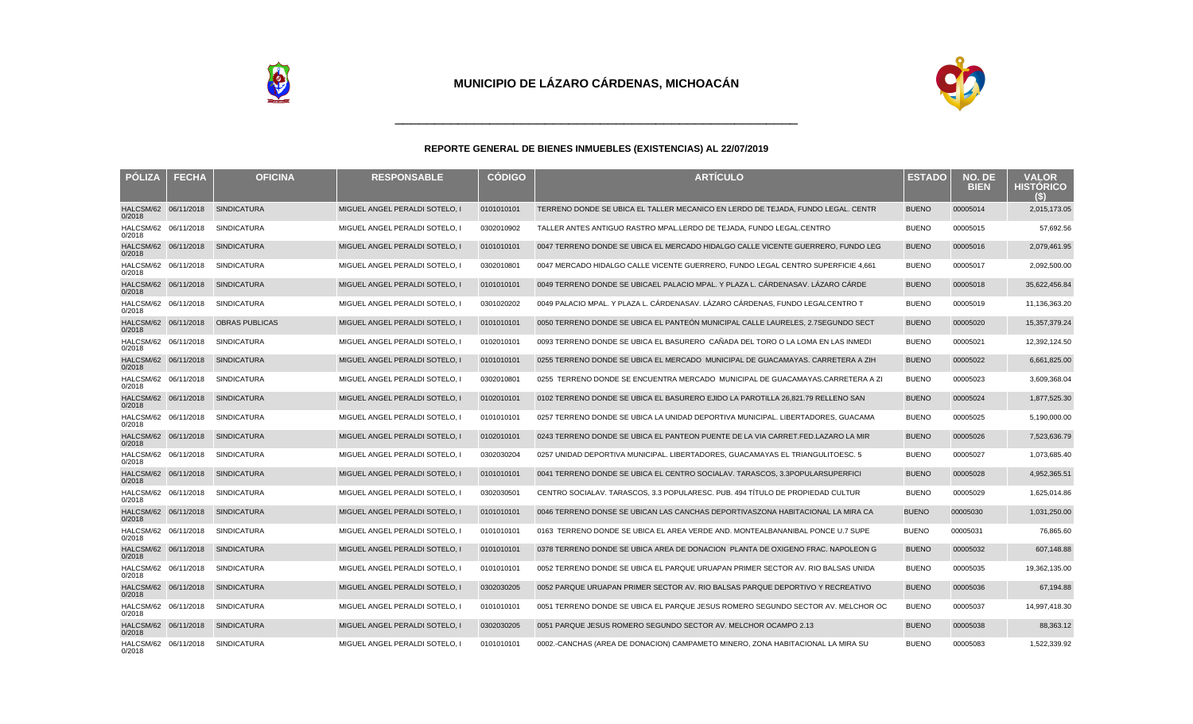

| <b>PÓLIZA</b>                  | <b>FECHA</b> | <b>OFICINA</b>        | <b>RESPONSABLE</b>             | <b>CÓDIGO</b> | <b>ARTÍCULO</b>                                                                  | <b>ESTADO</b> | NO. DE<br><b>BIEN</b> | <b>VALOR</b><br><b>HISTÓRICO</b><br>(S) |
|--------------------------------|--------------|-----------------------|--------------------------------|---------------|----------------------------------------------------------------------------------|---------------|-----------------------|-----------------------------------------|
| HALCSM/62 06/11/2018<br>0/2018 |              | <b>SINDICATURA</b>    | MIGUEL ANGEL PERALDI SOTELO, I | 0101010101    | TERRENO DONDE SE UBICA EL TALLER MECANICO EN LERDO DE TEJADA, FUNDO LEGAL. CENTR | <b>BUENO</b>  | 00005014              | 2,015,173.05                            |
| HALCSM/62 06/11/2018<br>0/2018 |              | <b>SINDICATURA</b>    | MIGUEL ANGEL PERALDI SOTELO, I | 0302010902    | TALLER ANTES ANTIGUO RASTRO MPAL. LERDO DE TEJADA. FUNDO LEGAL. CENTRO           | <b>BUENO</b>  | 00005015              | 57,692.56                               |
| HALCSM/62 06/11/2018<br>0/2018 |              | <b>SINDICATURA</b>    | MIGUEL ANGEL PERALDI SOTELO, I | 0101010101    | 0047 TERRENO DONDE SE UBICA EL MERCADO HIDALGO CALLE VICENTE GUERRERO. FUNDO LEG | <b>BUENO</b>  | 00005016              | 2,079,461.95                            |
| HALCSM/62 06/11/2018<br>0/2018 |              | <b>SINDICATURA</b>    | MIGUEL ANGEL PERALDI SOTELO. I | 0302010801    | 0047 MERCADO HIDALGO CALLE VICENTE GUERRERO. FUNDO LEGAL CENTRO SUPERFICIE 4.661 | <b>BUENO</b>  | 00005017              | 2,092,500.00                            |
| HALCSM/62 06/11/2018<br>0/2018 |              | <b>SINDICATURA</b>    | MIGUEL ANGEL PERALDI SOTELO. I | 0101010101    | 0049 TERRENO DONDE SE UBICAEL PALACIO MPAL. Y PLAZA L. CÁRDENAS AV. LÁZARO CÁRDE | <b>BUENO</b>  | 00005018              | 35,622,456.84                           |
| HALCSM/62 06/11/2018<br>0/2018 |              | <b>SINDICATURA</b>    | MIGUEL ANGEL PERALDI SOTELO, I | 0301020202    | 0049 PALACIO MPAL. Y PLAZA L. CÁRDENAS AV. LÁZARO CÁRDENAS, FUNDO LEGAL CENTRO T | <b>BUENO</b>  | 00005019              | 11,136,363.20                           |
| HALCSM/62 06/11/2018<br>0/2018 |              | <b>OBRAS PUBLICAS</b> | MIGUEL ANGEL PERALDI SOTELO, I | 0101010101    | 0050 TERRENO DONDE SE UBICA EL PANTEÓN MUNICIPAL CALLE LAURELES. 2.7SEGUNDO SECT | <b>BUENO</b>  | 00005020              | 15,357,379.24                           |
| HALCSM/62 06/11/2018<br>0/2018 |              | <b>SINDICATURA</b>    | MIGUEL ANGEL PERALDI SOTELO. I | 0102010101    | 0093 TERRENO DONDE SE UBICA EL BASURERO CAÑADA DEL TORO O LA LOMA EN LAS INMEDI  | <b>BUENO</b>  | 00005021              | 12,392,124.50                           |
| HALCSM/62 06/11/2018<br>0/2018 |              | <b>SINDICATURA</b>    | MIGUEL ANGEL PERALDI SOTELO. I | 0101010101    | 0255 TERRENO DONDE SE UBICA EL MERCADO MUNICIPAL DE GUACAMAYAS, CARRETERA A ZIH  | <b>BUENO</b>  | 00005022              | 6,661,825.00                            |
| HALCSM/62 06/11/2018<br>0/2018 |              | <b>SINDICATURA</b>    | MIGUEL ANGEL PERALDI SOTELO. I | 0302010801    | 0255 TERRENO DONDE SE ENCUENTRA MERCADO MUNICIPAL DE GUACAMAYAS.CARRETERA A ZI   | <b>BUENO</b>  | 00005023              | 3,609,368.04                            |
| HALCSM/62 06/11/2018<br>0/2018 |              | SINDICATURA           | MIGUEL ANGEL PERALDI SOTELO, I | 0102010101    | 0102 TERRENO DONDE SE UBICA EL BASURERO EJIDO LA PAROTILLA 26,821.79 RELLENO SAN | <b>BUENO</b>  | 00005024              | 1,877,525.30                            |
| HALCSM/62 06/11/2018<br>0/2018 |              | <b>SINDICATURA</b>    | MIGUEL ANGEL PERALDI SOTELO, I | 0101010101    | 0257 TERRENO DONDE SE UBICA LA UNIDAD DEPORTIVA MUNICIPAL. LIBERTADORES, GUACAMA | <b>BUENO</b>  | 00005025              | 5,190,000.00                            |
| HALCSM/62 06/11/2018<br>0/2018 |              | <b>SINDICATURA</b>    | MIGUEL ANGEL PERALDI SOTELO. I | 0102010101    | 0243 TERRENO DONDE SE UBICA EL PANTEON PUENTE DE LA VIA CARRET.FED.LAZARO LA MIR | <b>BUENO</b>  | 00005026              | 7,523,636.79                            |
| HALCSM/62 06/11/2018<br>0/2018 |              | <b>SINDICATURA</b>    | MIGUEL ANGEL PERALDI SOTELO, I | 0302030204    | 0257 UNIDAD DEPORTIVA MUNICIPAL. LIBERTADORES, GUACAMAYAS EL TRIANGULITO ESC. 5  | <b>BUENO</b>  | 00005027              | 1,073,685.40                            |
| HALCSM/62 06/11/2018<br>0/2018 |              | <b>SINDICATURA</b>    | MIGUEL ANGEL PERALDI SOTELO. I | 0101010101    | 0041 TERRENO DONDE SE UBICA EL CENTRO SOCIAL AV. TARASCOS. 3.3 POPULAR SUPERFICI | <b>BUENO</b>  | 00005028              | 4,952,365.51                            |
| HALCSM/62 06/11/2018<br>0/2018 |              | <b>SINDICATURA</b>    | MIGUEL ANGEL PERALDI SOTELO, I | 0302030501    | CENTRO SOCIAL AV. TARASCOS, 3.3 POPULAR ESC. PUB. 494 TITULO DE PROPIEDAD CULTUR | <b>BUENO</b>  | 00005029              | 1,625,014.86                            |
| HALCSM/62 06/11/2018<br>0/2018 |              | <b>SINDICATURA</b>    | MIGUEL ANGEL PERALDI SOTELO, I | 0101010101    | 0046 TERRENO DONSE SE UBICAN LAS CANCHAS DEPORTIVAS ZONA HABITACIONAL LA MIRA CA | <b>BUENO</b>  | 00005030              | 1,031,250.00                            |
| HALCSM/62 06/11/2018<br>0/2018 |              | <b>SINDICATURA</b>    | MIGUEL ANGEL PERALDI SOTELO, I | 0101010101    | 0163 TERRENO DONDE SE UBICA EL AREA VERDE AND. MONTEALBAN ANIBAL PONCE U.7 SUPE  | <b>BUENO</b>  | 00005031              | 76,865.60                               |
| HALCSM/62 06/11/2018<br>0/2018 |              | <b>SINDICATURA</b>    | MIGUEL ANGEL PERALDI SOTELO, I | 0101010101    | 0378 TERRENO DONDE SE UBICA AREA DE DONACION PLANTA DE OXIGENO FRAC. NAPOLEON G  | <b>BUENO</b>  | 00005032              | 607,148.88                              |
| HALCSM/62 06/11/2018<br>0/2018 |              | <b>SINDICATURA</b>    | MIGUEL ANGEL PERALDI SOTELO, I | 0101010101    | 0052 TERRENO DONDE SE UBICA EL PARQUE URUAPAN PRIMER SECTOR AV. RIO BALSAS UNIDA | <b>BUENO</b>  | 00005035              | 19,362,135.00                           |
| HALCSM/62 06/11/2018<br>0/2018 |              | <b>SINDICATURA</b>    | MIGUEL ANGEL PERALDI SOTELO, I | 0302030205    | 0052 PARQUE URUAPAN PRIMER SECTOR AV. RIO BALSAS PARQUE DEPORTIVO Y RECREATIVO   | <b>BUENO</b>  | 00005036              | 67,194.88                               |
| HALCSM/62 06/11/2018<br>0/2018 |              | <b>SINDICATURA</b>    | MIGUEL ANGEL PERALDI SOTELO, I | 0101010101    | 0051 TERRENO DONDE SE UBICA EL PARQUE JESUS ROMERO SEGUNDO SECTOR AV. MELCHOR OC | <b>BUENO</b>  | 00005037              | 14,997,418.30                           |
| HALCSM/62 06/11/2018<br>0/2018 |              | <b>SINDICATURA</b>    | MIGUEL ANGEL PERALDI SOTELO, I | 0302030205    | 0051 PARQUE JESUS ROMERO SEGUNDO SECTOR AV. MELCHOR OCAMPO 2.13                  | <b>BUENO</b>  | 00005038              | 88,363.12                               |
| HALCSM/62 06/11/2018<br>0/2018 |              | SINDICATURA           | MIGUEL ANGEL PERALDI SOTELO. I | 0101010101    | 0002.-CANCHAS (AREA DE DONACION) CAMPAMETO MINERO, ZONA HABITACIONAL LA MIRA SU  | <b>BUENO</b>  | 00005083              | 1,522,339.92                            |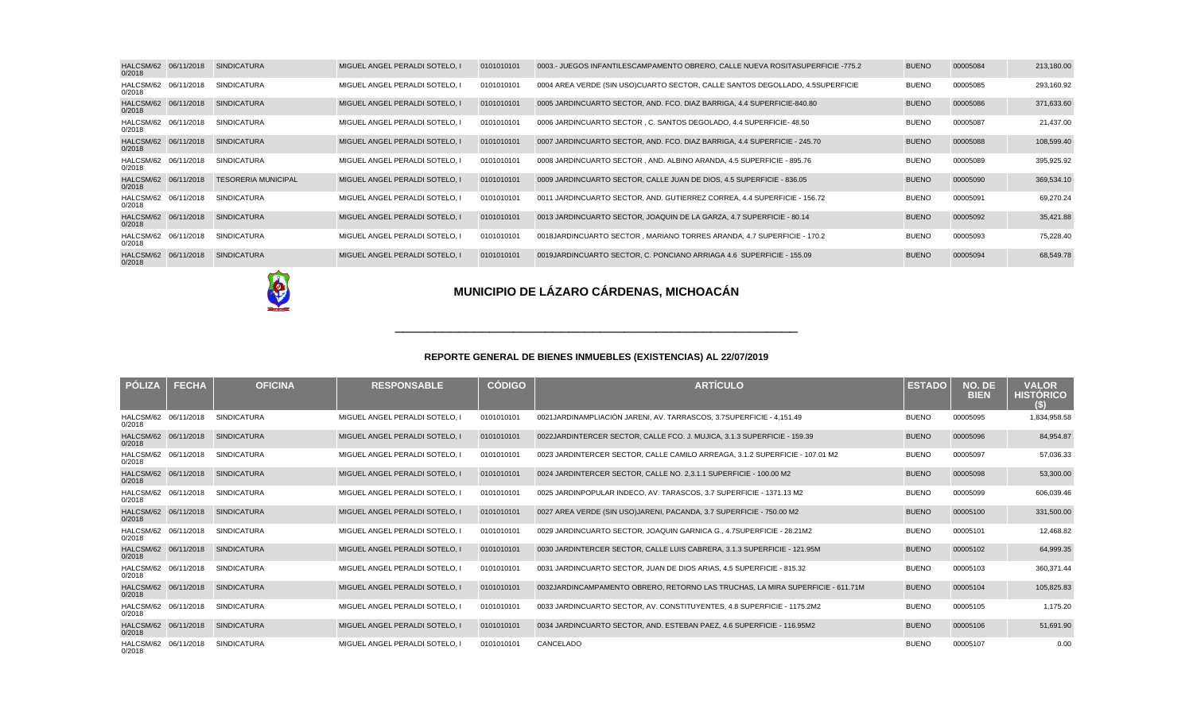| HALCSM/62 06/11/2018<br>0/2018 | <b>SINDICATURA</b>         | MIGUEL ANGEL PERALDI SOTELO. I | 0101010101 | 0003.- JUEGOS INFANTILES CAMPAMENTO OBRERO, CALLE NUEVA ROSITA SUPERFICIE -775.2 | <b>BUENO</b> | 00005084 | 213,180.00 |
|--------------------------------|----------------------------|--------------------------------|------------|----------------------------------------------------------------------------------|--------------|----------|------------|
| HALCSM/62 06/11/2018<br>0/2018 | <b>SINDICATURA</b>         | MIGUEL ANGEL PERALDI SOTELO. I | 0101010101 | 0004 AREA VERDE (SIN USO) CUARTO SECTOR, CALLE SANTOS DEGOLLADO, 4.5 SUPERFICIE  | <b>BUENO</b> | 00005085 | 293,160.92 |
| HALCSM/62 06/11/2018<br>0/2018 | <b>SINDICATURA</b>         | MIGUEL ANGEL PERALDI SOTELO. I | 0101010101 | 0005 JARDIN CUARTO SECTOR, AND. FCO. DIAZ BARRIGA, 4.4 SUPERFICIE- 840.80        | <b>BUENO</b> | 00005086 | 371,633.60 |
| HALCSM/62 06/11/2018<br>0/2018 | <b>SINDICATURA</b>         | MIGUEL ANGEL PERALDI SOTELO, I | 0101010101 | 0006 JARDIN CUARTO SECTOR, C. SANTOS DEGOLADO, 4.4 SUPERFICIE- 48.50             | <b>BUENO</b> | 00005087 | 21,437.00  |
| HALCSM/62 06/11/2018<br>0/2018 | <b>SINDICATURA</b>         | MIGUEL ANGEL PERALDI SOTELO. I | 0101010101 | 0007 JARDIN CUARTO SECTOR, AND. FCO. DIAZ BARRIGA, 4.4 SUPERFICIE - 245.70       | <b>BUENO</b> | 00005088 | 108,599.40 |
| HALCSM/62 06/11/2018<br>0/2018 | <b>SINDICATURA</b>         | MIGUEL ANGEL PERALDI SOTELO. I | 0101010101 | 0008 JARDIN CUARTO SECTOR, AND. ALBINO ARANDA, 4.5 SUPERFICIE - 895.76           | <b>BUENO</b> | 00005089 | 395,925.92 |
| HALCSM/62 06/11/2018<br>0/2018 | <b>TESORERIA MUNICIPAL</b> | MIGUEL ANGEL PERALDI SOTELO. I | 0101010101 | 0009 JARDIN CUARTO SECTOR, CALLE JUAN DE DIOS, 4.5 SUPERFICIE - 836.05           | <b>BUENO</b> | 00005090 | 369,534.10 |
| HALCSM/62 06/11/2018<br>0/2018 | <b>SINDICATURA</b>         | MIGUEL ANGEL PERALDI SOTELO. I | 0101010101 | 0011 JARDIN CUARTO SECTOR, AND. GUTIERREZ CORREA, 4.4 SUPERFICIE - 156.72        | <b>BUENO</b> | 00005091 | 69,270.24  |
| HALCSM/62 06/11/2018<br>0/2018 | <b>SINDICATURA</b>         | MIGUEL ANGEL PERALDI SOTELO. I | 0101010101 | 0013 JARDIN CUARTO SECTOR, JOAQUIN DE LA GARZA, 4.7 SUPERFICIE - 80.14           | <b>BUENO</b> | 00005092 | 35,421.88  |
| HALCSM/62 06/11/2018<br>0/2018 | <b>SINDICATURA</b>         | MIGUEL ANGEL PERALDI SOTELO. I | 0101010101 | 0018 JARDIN CUARTO SECTOR , MARIANO TORRES ARANDA, 4.7 SUPERFICIE - 170.2        | <b>BUENO</b> | 00005093 | 75,228.40  |
| HALCSM/62 06/11/2018<br>0/2018 | <b>SINDICATURA</b>         | MIGUEL ANGEL PERALDI SOTELO. I | 0101010101 | 0019 JARDIN CUARTO SECTOR, C. PONCIANO ARRIAGA 4.6 SUPERFICIE - 155.09           | <b>BUENO</b> | 00005094 | 68,549.78  |



| <b>PÓLIZA</b>                  | <b>FECHA</b> | <b>OFICINA</b>     | <b>RESPONSABLE</b>             | <b>CÓDIGO</b> | <b>ARTÍCULO</b>                                                                  | <b>ESTADO</b> | NO. DE<br><b>BIEN</b> | <b>VALOR</b><br><b>HISTÓRICO</b><br>$\left(5\right)$ |
|--------------------------------|--------------|--------------------|--------------------------------|---------------|----------------------------------------------------------------------------------|---------------|-----------------------|------------------------------------------------------|
| HALCSM/62 06/11/2018<br>0/2018 |              | <b>SINDICATURA</b> | MIGUEL ANGEL PERALDI SOTELO. I | 0101010101    | 0021 JARDIN AMPLIACIÓN JARENI, AV. TARRASCOS, 3.7 SUPERFICIE - 4,151.49          | <b>BUENO</b>  | 00005095              | 1,834,958.58                                         |
| HALCSM/62 06/11/2018<br>0/2018 |              | <b>SINDICATURA</b> | MIGUEL ANGEL PERALDI SOTELO. I | 0101010101    | 0022 JARDIN TERCER SECTOR, CALLE FCO. J. MUJICA, 3.1.3 SUPERFICIE - 159.39       | <b>BUENO</b>  | 00005096              | 84,954.87                                            |
| HALCSM/62 06/11/2018<br>0/2018 |              | <b>SINDICATURA</b> | MIGUEL ANGEL PERALDI SOTELO. I | 0101010101    | 0023 JARDIN TERCER SECTOR, CALLE CAMILO ARREAGA, 3.1.2 SUPERFICIE - 107.01 M2    | <b>BUENO</b>  | 00005097              | 57,036.33                                            |
| HALCSM/62 06/11/2018<br>0/2018 |              | <b>SINDICATURA</b> | MIGUEL ANGEL PERALDI SOTELO. I | 0101010101    | 0024 JARDIN TERCER SECTOR, CALLE NO. 2,3.1.1 SUPERFICIE - 100.00 M2              | <b>BUENO</b>  | 00005098              | 53,300.00                                            |
| HALCSM/62 06/11/2018<br>0/2018 |              | <b>SINDICATURA</b> | MIGUEL ANGEL PERALDI SOTELO. I | 0101010101    | 0025 JARDIN POPULAR INDECO, AV. TARASCOS, 3.7 SUPERFICIE - 1371.13 M2            | <b>BUENO</b>  | 00005099              | 606,039.46                                           |
| HALCSM/62 06/11/2018<br>0/2018 |              | <b>SINDICATURA</b> | MIGUEL ANGEL PERALDI SOTELO. I | 0101010101    | 0027 AREA VERDE (SIN USO) JARENI, PACANDA, 3.7 SUPERFICIE - 750.00 M2            | <b>BUENO</b>  | 00005100              | 331,500.00                                           |
| HALCSM/62 06/11/2018<br>0/2018 |              | <b>SINDICATURA</b> | MIGUEL ANGEL PERALDI SOTELO. I | 0101010101    | 0029 JARDIN CUARTO SECTOR, JOAQUIN GARNICA G., 4.7 SUPERFICIE - 28.21M2          | <b>BUENO</b>  | 00005101              | 12,468.82                                            |
| HALCSM/62 06/11/2018<br>0/2018 |              | <b>SINDICATURA</b> | MIGUEL ANGEL PERALDI SOTELO. I | 0101010101    | 0030 JARDIN TERCER SECTOR. CALLE LUIS CABRERA, 3.1.3 SUPERFICIE - 121.95M        | <b>BUENO</b>  | 00005102              | 64,999.35                                            |
| HALCSM/62 06/11/2018<br>0/2018 |              | <b>SINDICATURA</b> | MIGUEL ANGEL PERALDI SOTELO. I | 0101010101    | 0031 JARDIN CUARTO SECTOR, JUAN DE DIOS ARIAS, 4.5 SUPERFICIE - 815.32           | <b>BUENO</b>  | 00005103              | 360,371.44                                           |
| HALCSM/62 06/11/2018<br>0/2018 |              | <b>SINDICATURA</b> | MIGUEL ANGEL PERALDI SOTELO. I | 0101010101    | 0032 JARDIN CAMPAMENTO OBRERO, RETORNO LAS TRUCHAS, LA MIRA SUPERFICIE - 611.71M | <b>BUENO</b>  | 00005104              | 105,825.83                                           |
| HALCSM/62 06/11/2018<br>0/2018 |              | <b>SINDICATURA</b> | MIGUEL ANGEL PERALDI SOTELO. I | 0101010101    | 0033 JARDIN CUARTO SECTOR, AV, CONSTITUYENTES, 4.8 SUPERFICIE - 1175.2M2         | <b>BUENO</b>  | 00005105              | 1,175.20                                             |
| HALCSM/62 06/11/2018<br>0/2018 |              | <b>SINDICATURA</b> | MIGUEL ANGEL PERALDI SOTELO, I | 0101010101    | 0034 JARDIN CUARTO SECTOR, AND. ESTEBAN PAEZ, 4.6 SUPERFICIE - 116.95M2          | <b>BUENO</b>  | 00005106              | 51,691.90                                            |
| HALCSM/62 06/11/2018<br>0/2018 |              | <b>SINDICATURA</b> | MIGUEL ANGEL PERALDI SOTELO. I | 0101010101    | CANCELADO                                                                        | <b>BUENO</b>  | 00005107              | 0.00                                                 |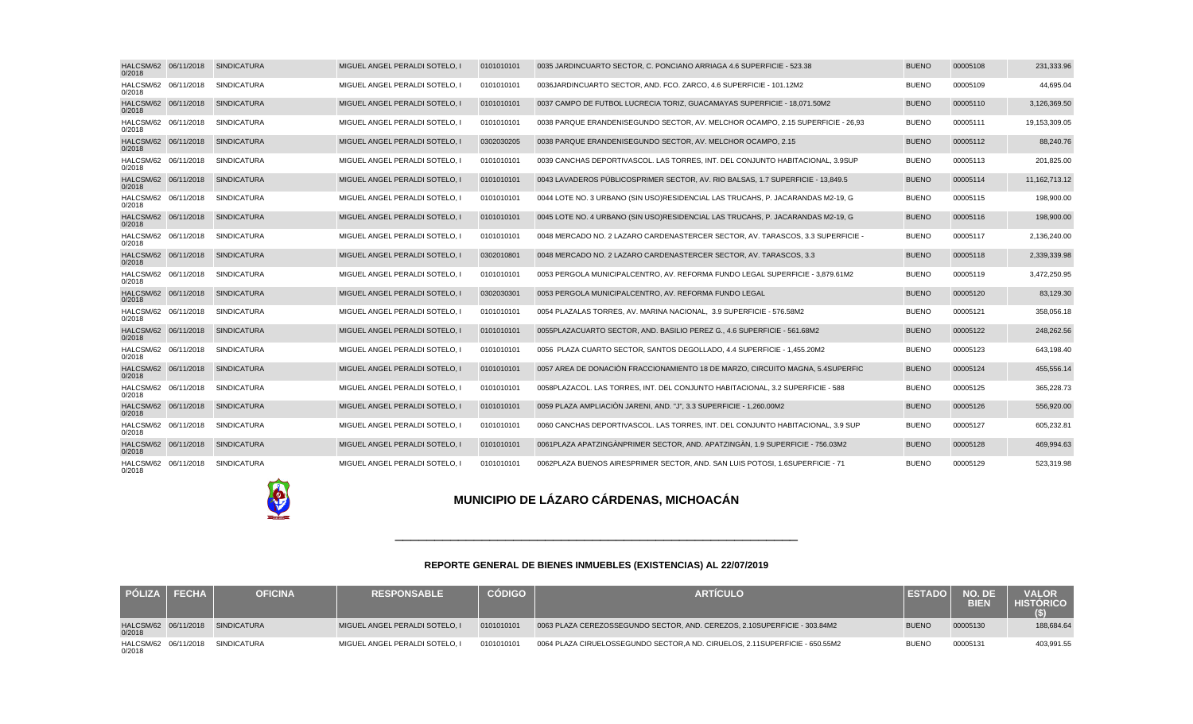| HALCSM/62 06/11/2018<br>0/2018 | <b>SINDICATURA</b> | MIGUEL ANGEL PERALDI SOTELO, I | 0101010101 | 0035 JARDIN CUARTO SECTOR, C. PONCIANO ARRIAGA 4.6 SUPERFICIE - 523.38           | <b>BUENO</b> | 00005108 | 231,333.96       |
|--------------------------------|--------------------|--------------------------------|------------|----------------------------------------------------------------------------------|--------------|----------|------------------|
| HALCSM/62 06/11/2018<br>0/2018 | <b>SINDICATURA</b> | MIGUEL ANGEL PERALDI SOTELO.   | 0101010101 | 0036 JARDIN CUARTO SECTOR, AND. FCO. ZARCO, 4.6 SUPERFICIE - 101.12M2            | <b>BUENO</b> | 00005109 | 44,695.04        |
| HALCSM/62 06/11/2018<br>0/2018 | <b>SINDICATURA</b> | MIGUEL ANGEL PERALDI SOTELO, I | 0101010101 | 0037 CAMPO DE FUTBOL LUCRECIA TORIZ, GUACAMAYAS SUPERFICIE - 18,071.50M2         | <b>BUENO</b> | 00005110 | 3,126,369.50     |
| HALCSM/62 06/11/2018<br>0/2018 | <b>SINDICATURA</b> | MIGUEL ANGEL PERALDI SOTELO, I | 0101010101 | 0038 PARQUE ERANDENI SEGUNDO SECTOR, AV. MELCHOR OCAMPO, 2.15 SUPERFICIE - 26,93 | <b>BUENO</b> | 00005111 | 19,153,309.05    |
| HALCSM/62 06/11/2018<br>0/2018 | <b>SINDICATURA</b> | MIGUEL ANGEL PERALDI SOTELO.   | 0302030205 | 0038 PARQUE ERANDENI SEGUNDO SECTOR, AV. MELCHOR OCAMPO, 2.15                    | <b>BUENO</b> | 00005112 | 88,240.76        |
| HALCSM/62 06/11/2018<br>0/2018 | <b>SINDICATURA</b> | MIGUEL ANGEL PERALDI SOTELO.   | 0101010101 | 0039 CANCHAS DEPORTIVAS COL. LAS TORRES. INT. DEL CONJUNTO HABITACIONAL, 3.9 SUP | <b>BUENO</b> | 00005113 | 201,825.00       |
| HALCSM/62 06/11/2018<br>0/2018 | <b>SINDICATURA</b> | MIGUEL ANGEL PERALDI SOTELO, I | 0101010101 | 0043 LAVADEROS PUBLICOS PRIMER SECTOR, AV, RIO BALSAS, 1.7 SUPERFICIE - 13.849.5 | <b>BUENO</b> | 00005114 | 11, 162, 713. 12 |
| HALCSM/62 06/11/2018<br>0/2018 | <b>SINDICATURA</b> | MIGUEL ANGEL PERALDI SOTELO, I | 0101010101 | 0044 LOTE NO. 3 URBANO (SIN USO) RESIDENCIAL LAS TRUCAHS, P. JACARANDAS M2-19, G | <b>BUENO</b> | 00005115 | 198,900.00       |
| HALCSM/62 06/11/2018<br>0/2018 | <b>SINDICATURA</b> | MIGUEL ANGEL PERALDI SOTELO, I | 0101010101 | 0045 LOTE NO. 4 URBANO (SIN USO) RESIDENCIAL LAS TRUCAHS, P. JACARANDAS M2-19, G | <b>BUENO</b> | 00005116 | 198,900.00       |
| HALCSM/62 06/11/2018<br>0/2018 | <b>SINDICATURA</b> | MIGUEL ANGEL PERALDI SOTELO, I | 0101010101 | 0048 MERCADO NO. 2 LAZARO CARDENAS TERCER SECTOR, AV. TARASCOS, 3.3 SUPERFICIE - | <b>BUENO</b> | 00005117 | 2,136,240.00     |
| HALCSM/62 06/11/2018<br>0/2018 | <b>SINDICATURA</b> | MIGUEL ANGEL PERALDI SOTELO, I | 0302010801 | 0048 MERCADO NO. 2 LAZARO CARDENAS TERCER SECTOR, AV. TARASCOS, 3.3              | <b>BUENO</b> | 00005118 | 2,339,339.98     |
| HALCSM/62 06/11/2018<br>0/2018 | <b>SINDICATURA</b> | MIGUEL ANGEL PERALDI SOTELO, I | 0101010101 | 0053 PERGOLA MUNICIPAL CENTRO, AV. REFORMA FUNDO LEGAL SUPERFICIE - 3,879.61M2   | <b>BUENO</b> | 00005119 | 3,472,250.95     |
| HALCSM/62 06/11/2018<br>0/2018 | <b>SINDICATURA</b> | MIGUEL ANGEL PERALDI SOTELO, I | 0302030301 | 0053 PERGOLA MUNICIPAL CENTRO, AV. REFORMA FUNDO LEGAL                           | <b>BUENO</b> | 00005120 | 83,129.30        |
| HALCSM/62 06/11/2018<br>0/2018 | <b>SINDICATURA</b> | MIGUEL ANGEL PERALDI SOTELO, I | 0101010101 | 0054 PLAZA LAS TORRES, AV. MARINA NACIONAL, 3.9 SUPERFICIE - 576.58M2            | <b>BUENO</b> | 00005121 | 358,056.18       |
| HALCSM/62 06/11/2018<br>0/2018 | <b>SINDICATURA</b> | MIGUEL ANGEL PERALDI SOTELO, I | 0101010101 | 0055 PLAZA CUARTO SECTOR, AND. BASILIO PEREZ G., 4.6 SUPERFICIE - 561.68M2       | <b>BUENO</b> | 00005122 | 248,262.56       |
| HALCSM/62 06/11/2018<br>0/2018 | <b>SINDICATURA</b> | MIGUEL ANGEL PERALDI SOTELO,   | 0101010101 | 0056 PLAZA CUARTO SECTOR, SANTOS DEGOLLADO, 4.4 SUPERFICIE - 1,455.20M2          | <b>BUENO</b> | 00005123 | 643,198.40       |
| HALCSM/62 06/11/2018<br>0/2018 | <b>SINDICATURA</b> | MIGUEL ANGEL PERALDI SOTELO, I | 0101010101 | 0057 AREA DE DONACIÓN FRACCIONAMIENTO 18 DE MARZO. CIRCUITO MAGNA, 5.4 SUPERFIC  | <b>BUENO</b> | 00005124 | 455,556.14       |
| HALCSM/62 06/11/2018<br>0/2018 | SINDICATURA        | MIGUEL ANGEL PERALDI SOTELO, I | 0101010101 | 0058 PLAZA COL. LAS TORRES, INT. DEL CONJUNTO HABITACIONAL, 3.2 SUPERFICIE - 588 | <b>BUENO</b> | 00005125 | 365,228.73       |
| HALCSM/62 06/11/2018<br>0/2018 | <b>SINDICATURA</b> | MIGUEL ANGEL PERALDI SOTELO, I | 0101010101 | 0059 PLAZA AMPLIACIÓN JARENI, AND. "J", 3.3 SUPERFICIE - 1,260.00M2              | <b>BUENO</b> | 00005126 | 556,920.00       |
| HALCSM/62 06/11/2018<br>0/2018 | <b>SINDICATURA</b> | MIGUEL ANGEL PERALDI SOTELO, I | 0101010101 | 0060 CANCHAS DEPORTIVAS COL. LAS TORRES, INT. DEL CONJUNTO HABITACIONAL, 3.9 SUP | <b>BUENO</b> | 00005127 | 605,232.81       |
| HALCSM/62 06/11/2018<br>0/2018 | <b>SINDICATURA</b> | MIGUEL ANGEL PERALDI SOTELO, I | 0101010101 | 0061 PLAZA APATZINGÀN PRIMER SECTOR, AND. APATZINGÀN, 1.9 SUPERFICIE - 756.03M2  | <b>BUENO</b> | 00005128 | 469,994.63       |
| HALCSM/62 06/11/2018<br>0/2018 | SINDICATURA        | MIGUEL ANGEL PERALDI SOTELO, I | 0101010101 | 0062 PLAZA BUENOS AIRES PRIMER SECTOR, AND. SAN LUIS POTOSI, 1.6 SUPERFICIE - 71 | <b>BUENO</b> | 00005129 | 523,319.98       |



#### **REPORTE GENERAL DE BIENES INMUEBLES (EXISTENCIAS) AL 22/07/2019**

\_\_\_\_\_\_\_\_\_\_\_\_\_\_\_\_\_\_\_\_\_\_\_\_\_\_\_\_\_\_\_\_\_\_\_\_\_\_\_\_\_\_\_\_\_\_\_\_\_\_\_

| <b>PÓLIZA</b>                  | <b>FECHA</b> | <b>OFICINA</b>                   | <b>RESPONSABLE</b>             | <b>CÓDIGO</b> | <b>ARTICULO</b>                                                                | $\sqrt{2}$ EST $\Lambda$ | NO. DE<br><b>BIEN</b> | <b>VALOR</b><br><b>HISTORICO</b> |
|--------------------------------|--------------|----------------------------------|--------------------------------|---------------|--------------------------------------------------------------------------------|--------------------------|-----------------------|----------------------------------|
| 0/2018                         |              | HALCSM/62 06/11/2018 SINDICATURA | MIGUEL ANGEL PERALDI SOTELO, I | 0101010101    | 0063 PLAZA CEREZOS SEGUNDO SECTOR, AND. CEREZOS, 2.10 SUPERFICIE - 303.84M2    | <b>BUENO</b>             | 00005130              | 188,684.64                       |
| HALCSM/62 06/11/2018<br>0/2018 |              | SINDICATURA                      | MIGUEL ANGEL PERALDI SOTELO. I | 0101010101    | 0064 PLAZA CIRUELOS SEGUNDO SECTOR, A ND. CIRUELOS, 2.11 SUPERFICIE - 650.55M2 | <b>BUENO</b>             | 00005131              | 403,991.55                       |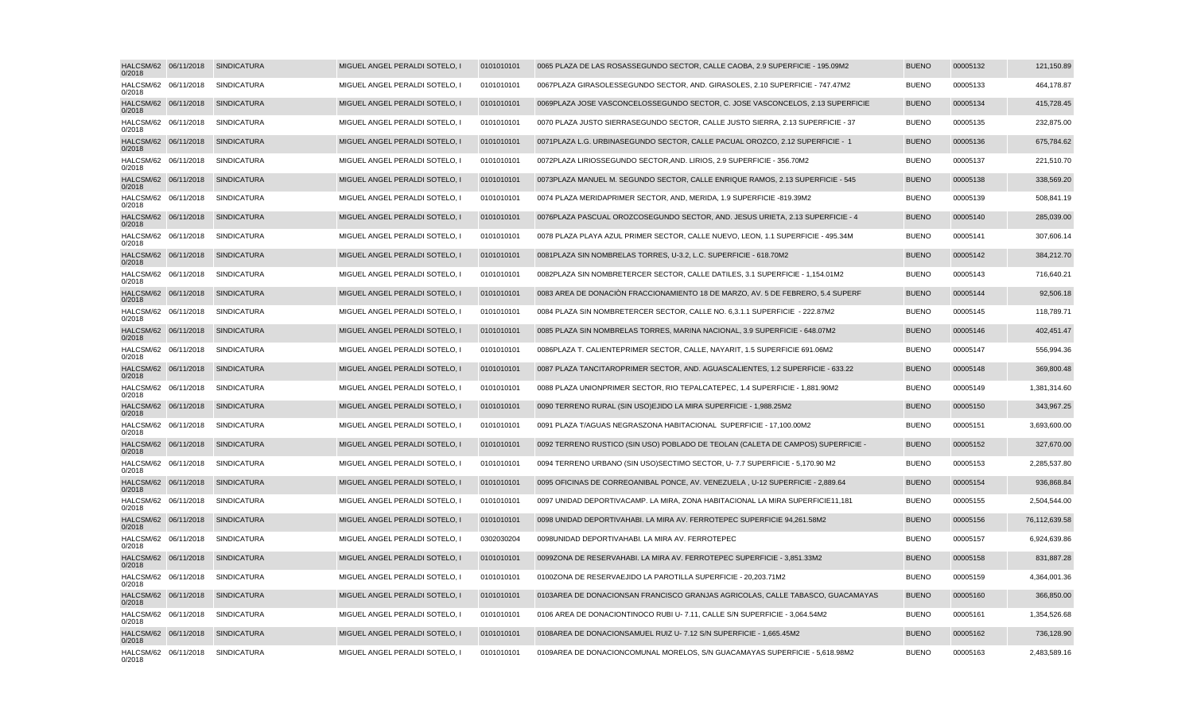| 0/2018 | HALCSM/62 06/11/2018 | SINDICATURA        | MIGUEL ANGEL PERALDI SOTELO, I | 0101010101 | 0065 PLAZA DE LAS ROSAS SEGUNDO SECTOR, CALLE CAOBA, 2.9 SUPERFICIE - 195.09M2   | <b>BUENO</b> | 00005132 | 121,150.89    |
|--------|----------------------|--------------------|--------------------------------|------------|----------------------------------------------------------------------------------|--------------|----------|---------------|
| 0/2018 | HALCSM/62 06/11/2018 | SINDICATURA        | MIGUEL ANGEL PERALDI SOTELO, I | 0101010101 | 0067 PLAZA GIRASOLES SEGUNDO SECTOR, AND. GIRASOLES, 2.10 SUPERFICIE - 747.47M2  | <b>BUENO</b> | 00005133 | 464,178.87    |
| 0/2018 | HALCSM/62 06/11/2018 | <b>SINDICATURA</b> | MIGUEL ANGEL PERALDI SOTELO, I | 0101010101 | 0069 PLAZA JOSE VASCONCELOS SEGUNDO SECTOR, C. JOSE VASCONCELOS, 2.13 SUPERFICIE | <b>BUENO</b> | 00005134 | 415,728.45    |
| 0/2018 | HALCSM/62 06/11/2018 | <b>SINDICATURA</b> | MIGUEL ANGEL PERALDI SOTELO, I | 0101010101 | 0070 PLAZA JUSTO SIERRA SEGUNDO SECTOR, CALLE JUSTO SIERRA, 2.13 SUPERFICIE - 37 | <b>BUENO</b> | 00005135 | 232,875.00    |
| 0/2018 | HALCSM/62 06/11/2018 | <b>SINDICATURA</b> | MIGUEL ANGEL PERALDI SOTELO. I | 0101010101 | 0071 PLAZA L.G. URBINA SEGUNDO SECTOR. CALLE PACUAL OROZCO, 2.12 SUPERFICIE - 1  | <b>BUENO</b> | 00005136 | 675,784.62    |
| 0/2018 | HALCSM/62 06/11/2018 | SINDICATURA        | MIGUEL ANGEL PERALDI SOTELO, I | 0101010101 | 0072 PLAZA LIRIOS SEGUNDO SECTOR, AND. LIRIOS, 2.9 SUPERFICIE - 356.70M2         | <b>BUENO</b> | 00005137 | 221,510.70    |
| 0/2018 | HALCSM/62 06/11/2018 | <b>SINDICATURA</b> | MIGUEL ANGEL PERALDI SOTELO, I | 0101010101 | 0073 PLAZA MANUEL M. SEGUNDO SECTOR, CALLE ENRIQUE RAMOS, 2.13 SUPERFICIE - 545  | <b>BUENO</b> | 00005138 | 338,569.20    |
| 0/2018 | HALCSM/62 06/11/2018 | <b>SINDICATURA</b> | MIGUEL ANGEL PERALDI SOTELO. I | 0101010101 | 0074 PLAZA MERIDA PRIMER SECTOR, AND, MERIDA, 1.9 SUPERFICIE - 819.39M2          | <b>BUENO</b> | 00005139 | 508,841.19    |
| 0/2018 | HALCSM/62 06/11/2018 | <b>SINDICATURA</b> | MIGUEL ANGEL PERALDI SOTELO, I | 0101010101 | 0076 PLAZA PASCUAL OROZCO SEGUNDO SECTOR, AND. JESUS URIETA, 2.13 SUPERFICIE - 4 | <b>BUENO</b> | 00005140 | 285,039.00    |
| 0/2018 | HALCSM/62 06/11/2018 | <b>SINDICATURA</b> | MIGUEL ANGEL PERALDI SOTELO, I | 0101010101 | 0078 PLAZA PLAYA AZUL PRIMER SECTOR, CALLE NUEVO, LEON, 1.1 SUPERFICIE - 495.34M | <b>BUENO</b> | 00005141 | 307,606.14    |
| 0/2018 | HALCSM/62 06/11/2018 | <b>SINDICATURA</b> | MIGUEL ANGEL PERALDI SOTELO, I | 0101010101 | 0081 PLAZA SIN NOMBRE LAS TORRES, U-3.2, L.C. SUPERFICIE - 618.70M2              | <b>BUENO</b> | 00005142 | 384,212.70    |
| 0/2018 | HALCSM/62 06/11/2018 | SINDICATURA        | MIGUEL ANGEL PERALDI SOTELO, I | 0101010101 | 0082 PLAZA SIN NOMBRE TERCER SECTOR, CALLE DATILES, 3.1 SUPERFICIE - 1,154.01M2  | <b>BUENO</b> | 00005143 | 716,640.21    |
| 0/2018 | HALCSM/62 06/11/2018 | <b>SINDICATURA</b> | MIGUEL ANGEL PERALDI SOTELO. I | 0101010101 | 0083 AREA DE DONACIÓN FRACCIONAMIENTO 18 DE MARZO, AV, 5 DE FEBRERO, 5.4 SUPERF  | <b>BUENO</b> | 00005144 | 92,506.18     |
| 0/2018 | HALCSM/62 06/11/2018 | <b>SINDICATURA</b> | MIGUEL ANGEL PERALDI SOTELO. I | 0101010101 | 0084 PLAZA SIN NOMBRE TERCER SECTOR, CALLE NO. 6.3.1.1 SUPERFICIE - 222.87M2     | <b>BUENO</b> | 00005145 | 118,789.71    |
| 0/2018 | HALCSM/62 06/11/2018 | SINDICATURA        | MIGUEL ANGEL PERALDI SOTELO, I | 0101010101 | 0085 PLAZA SIN NOMBRE LAS TORRES, MARINA NACIONAL, 3.9 SUPERFICIE - 648.07M2     | <b>BUENO</b> | 00005146 | 402,451.47    |
| 0/2018 | HALCSM/62 06/11/2018 | <b>SINDICATURA</b> | MIGUEL ANGEL PERALDI SOTELO, I | 0101010101 | 0086 PLAZA T. CALIENTE PRIMER SECTOR, CALLE, NAYARIT, 1.5 SUPERFICIE 691.06M2    | <b>BUENO</b> | 00005147 | 556,994.36    |
| 0/2018 | HALCSM/62 06/11/2018 | <b>SINDICATURA</b> | MIGUEL ANGEL PERALDI SOTELO, I | 0101010101 | 0087 PLAZA TANCITARO PRIMER SECTOR, AND. AGUASCALIENTES, 1.2 SUPERFICIE - 633.22 | <b>BUENO</b> | 00005148 | 369,800.48    |
| 0/2018 | HALCSM/62 06/11/2018 | SINDICATURA        | MIGUEL ANGEL PERALDI SOTELO, I | 0101010101 | 0088 PLAZA UNION PRIMER SECTOR, RIO TEPALCATEPEC, 1.4 SUPERFICIE - 1,881.90M2    | <b>BUENO</b> | 00005149 | 1,381,314.60  |
| 0/2018 | HALCSM/62 06/11/2018 | <b>SINDICATURA</b> | MIGUEL ANGEL PERALDI SOTELO, I | 0101010101 | 0090 TERRENO RURAL (SIN USO) EJIDO LA MIRA SUPERFICIE - 1,988.25M2               | <b>BUENO</b> | 00005150 | 343,967.25    |
| 0/2018 | HALCSM/62 06/11/2018 | <b>SINDICATURA</b> | MIGUEL ANGEL PERALDI SOTELO, I | 0101010101 | 0091 PLAZA T/AGUAS NEGRAS ZONA HABITACIONAL SUPERFICIE - 17,100.00M2             | <b>BUENO</b> | 00005151 | 3,693,600.00  |
| 0/2018 | HALCSM/62 06/11/2018 | SINDICATURA        | MIGUEL ANGEL PERALDI SOTELO, I | 0101010101 | 0092 TERRENO RUSTICO (SIN USO) POBLADO DE TEOLAN (CALETA DE CAMPOS) SUPERFICIE - | <b>BUENO</b> | 00005152 | 327,670.00    |
| 0/2018 | HALCSM/62 06/11/2018 | <b>SINDICATURA</b> | MIGUEL ANGEL PERALDI SOTELO, I | 0101010101 | 0094 TERRENO URBANO (SIN USO) SECTIMO SECTOR, U- 7.7 SUPERFICIE - 5,170.90 M2    | <b>BUENO</b> | 00005153 | 2,285,537.80  |
| 0/2018 | HALCSM/62 06/11/2018 | <b>SINDICATURA</b> | MIGUEL ANGEL PERALDI SOTELO, I | 0101010101 | 0095 OFICINAS DE CORREO ANIBAL PONCE, AV. VENEZUELA, U-12 SUPERFICIE - 2,889.64  | <b>BUENO</b> | 00005154 | 936,868.84    |
| 0/2018 | HALCSM/62 06/11/2018 | <b>SINDICATURA</b> | MIGUEL ANGEL PERALDI SOTELO, I | 0101010101 | 0097 UNIDAD DEPORTIVA CAMP. LA MIRA, ZONA HABITACIONAL LA MIRA SUPERFICIE 11,181 | <b>BUENO</b> | 00005155 | 2,504,544.00  |
| 0/2018 | HALCSM/62 06/11/2018 | <b>SINDICATURA</b> | MIGUEL ANGEL PERALDI SOTELO, I | 0101010101 | 0098 UNIDAD DEPORTIVA HABI. LA MIRA AV. FERROTEPEC SUPERFICIE 94,261.58M2        | <b>BUENO</b> | 00005156 | 76,112,639.58 |
| 0/2018 | HALCSM/62 06/11/2018 | SINDICATURA        | MIGUEL ANGEL PERALDI SOTELO, I | 0302030204 | 0098 UNIDAD DEPORTIVA HABI. LA MIRA AV. FERROTEPEC                               | <b>BUENO</b> | 00005157 | 6,924,639.86  |
| 0/2018 | HALCSM/62 06/11/2018 | <b>SINDICATURA</b> | MIGUEL ANGEL PERALDI SOTELO, I | 0101010101 | 0099 ZONA DE RESERVA HABI. LA MIRA AV. FERROTEPEC SUPERFICIE - 3,851.33M2        | <b>BUENO</b> | 00005158 | 831,887.28    |
| 0/2018 | HALCSM/62 06/11/2018 | <b>SINDICATURA</b> | MIGUEL ANGEL PERALDI SOTELO, I | 0101010101 | 0100 ZONA DE RESERVA EJIDO LA PAROTILLA SUPERFICIE - 20,203.71M2                 | <b>BUENO</b> | 00005159 | 4,364,001.36  |
| 0/2018 | HALCSM/62 06/11/2018 | <b>SINDICATURA</b> | MIGUEL ANGEL PERALDI SOTELO, I | 0101010101 | 0103 AREA DE DONACION SAN FRANCISCO GRANJAS AGRICOLAS, CALLE TABASCO, GUACAMAYAS | <b>BUENO</b> | 00005160 | 366,850.00    |
| 0/2018 | HALCSM/62 06/11/2018 | <b>SINDICATURA</b> | MIGUEL ANGEL PERALDI SOTELO, I | 0101010101 | 0106 AREA DE DONACION TINOCO RUBI U- 7.11, CALLE S/N SUPERFICIE - 3,064.54M2     | <b>BUENO</b> | 00005161 | 1,354,526.68  |
| 0/2018 | HALCSM/62 06/11/2018 | <b>SINDICATURA</b> | MIGUEL ANGEL PERALDI SOTELO, I | 0101010101 | 0108 AREA DE DONACION SAMUEL RUIZ U- 7.12 S/N SUPERFICIE - 1,665.45M2            | <b>BUENO</b> | 00005162 | 736,128.90    |
| 0/2018 | HALCSM/62 06/11/2018 | SINDICATURA        | MIGUEL ANGEL PERALDI SOTELO, I | 0101010101 | 0109 AREA DE DONACION COMUNAL MORELOS, S/N GUACAMAYAS SUPERFICIE - 5,618.98M2    | <b>BUENO</b> | 00005163 | 2,483,589.16  |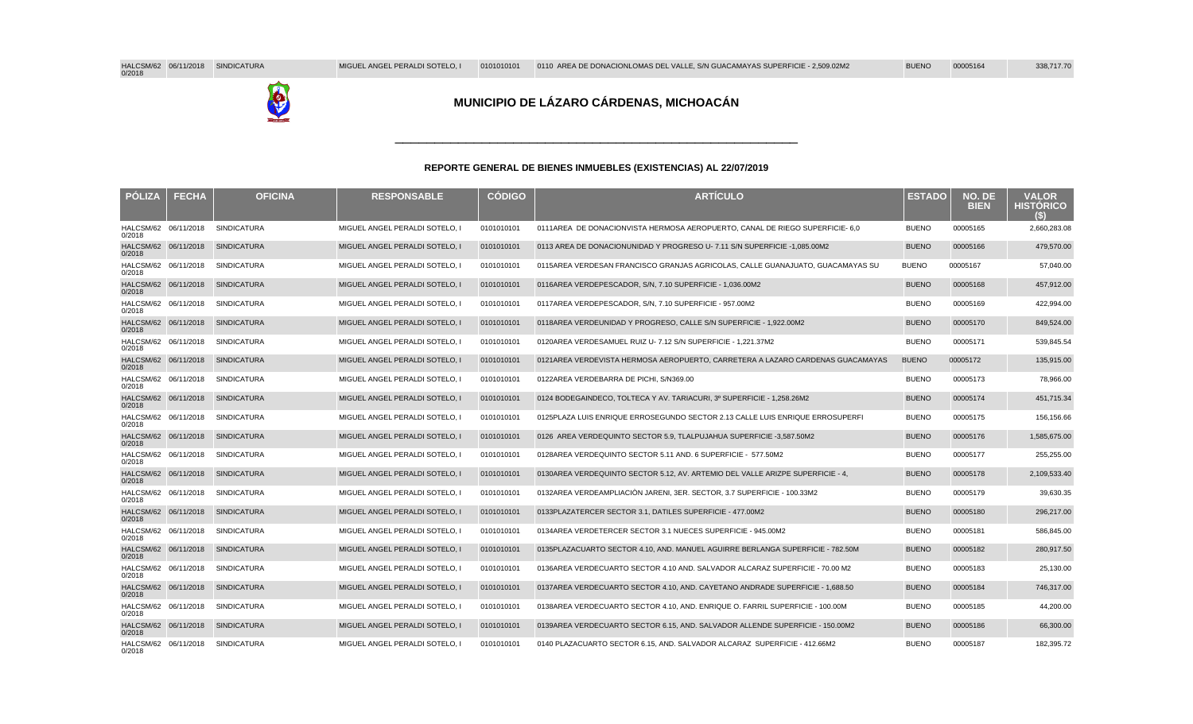

#### **REPORTE GENERAL DE BIENES INMUEBLES (EXISTENCIAS) AL 22/07/2019**

\_\_\_\_\_\_\_\_\_\_\_\_\_\_\_\_\_\_\_\_\_\_\_\_\_\_\_\_\_\_\_\_\_\_\_\_\_\_\_\_\_\_\_\_\_\_\_\_\_\_\_

| <b>POLIZA</b>                  | <b>FECHA</b> | <b>OFICINA</b>     | <b>RESPONSABLE</b>             | <b>CÓDIGO</b> | <b>ARTICULO</b>                                                                  | <b>ESTADO</b> | NO. DE<br><b>BIEN</b> | <b>VALOR</b><br><b>HISTORICO</b> |
|--------------------------------|--------------|--------------------|--------------------------------|---------------|----------------------------------------------------------------------------------|---------------|-----------------------|----------------------------------|
| HALCSM/62 06/11/2018<br>0/2018 |              | <b>SINDICATURA</b> | MIGUEL ANGEL PERALDI SOTELO, I | 0101010101    | 0111 AREA DE DONACION VISTA HERMOSA AEROPUERTO, CANAL DE RIEGO SUPERFICIE - 6,0  | <b>BUENO</b>  | 00005165              | 2,660,283.08                     |
| HALCSM/62 06/11/2018<br>0/2018 |              | <b>SINDICATURA</b> | MIGUEL ANGEL PERALDI SOTELO, I | 0101010101    | 0113 AREA DE DONACION UNIDAD Y PROGRESO U- 7.11 S/N SUPERFICIE - 1,085.00M2      | <b>BUENO</b>  | 00005166              | 479,570.00                       |
| HALCSM/62 06/11/2018<br>0/2018 |              | <b>SINDICATURA</b> | MIGUEL ANGEL PERALDI SOTELO. I | 0101010101    | 0115 AREA VERDE SAN FRANCISCO GRANJAS AGRICOLAS. CALLE GUANAJUATO. GUACAMAYAS SU | <b>BUENO</b>  | 00005167              | 57,040.00                        |
| HALCSM/62 06/11/2018<br>0/2018 |              | <b>SINDICATURA</b> | MIGUEL ANGEL PERALDI SOTELO, I | 0101010101    | 0116 AREA VERDE PESCADOR, S/N, 7.10 SUPERFICIE - 1,036.00M2                      | <b>BUENO</b>  | 00005168              | 457,912.00                       |
| HALCSM/62 06/11/2018<br>0/2018 |              | <b>SINDICATURA</b> | MIGUEL ANGEL PERALDI SOTELO, I | 0101010101    | 0117 AREA VERDE PESCADOR, S/N, 7.10 SUPERFICIE - 957.00M2                        | <b>BUENO</b>  | 00005169              | 422,994.00                       |
| HALCSM/62 06/11/2018<br>0/2018 |              | <b>SINDICATURA</b> | MIGUEL ANGEL PERALDI SOTELO, I | 0101010101    | 0118 AREA VERDE UNIDAD Y PROGRESO, CALLE S/N SUPERFICIE - 1,922.00M2             | <b>BUENO</b>  | 00005170              | 849,524.00                       |
| HALCSM/62 06/11/2018<br>0/2018 |              | <b>SINDICATURA</b> | MIGUEL ANGEL PERALDI SOTELO, I | 0101010101    | 0120 AREA VERDE SAMUEL RUIZ U- 7.12 S/N SUPERFICIE - 1.221.37M2                  | <b>BUENO</b>  | 00005171              | 539,845.54                       |
| HALCSM/62 06/11/2018<br>0/2018 |              | <b>SINDICATURA</b> | MIGUEL ANGEL PERALDI SOTELO, I | 0101010101    | 0121 AREA VERDE VISTA HERMOSA AEROPUERTO, CARRETERA A LAZARO CARDENAS GUACAMAYAS | <b>BUENO</b>  | 00005172              | 135,915.00                       |
| HALCSM/62 06/11/2018<br>0/2018 |              | <b>SINDICATURA</b> | MIGUEL ANGEL PERALDI SOTELO,   | 0101010101    | 0122 AREA VERDE BARRA DE PICHI, S/N 369.00                                       | <b>BUENO</b>  | 00005173              | 78,966.00                        |
| HALCSM/62 06/11/2018<br>0/2018 |              | <b>SINDICATURA</b> | MIGUEL ANGEL PERALDI SOTELO. I | 0101010101    | 0124 BODEGA INDECO, TOLTECA Y AV, TARIACURI, 3º SUPERFICIE - 1.258.26M2          | <b>BUENO</b>  | 00005174              | 451,715.34                       |
| HALCSM/62 06/11/2018<br>0/2018 |              | <b>SINDICATURA</b> | MIGUEL ANGEL PERALDI SOTELO, I | 0101010101    | 0125 PLAZA LUIS ENRIQUE ERRO SEGUNDO SECTOR 2.13 CALLE LUIS ENRIQUE ERRO SUPERFI | <b>BUENO</b>  | 00005175              | 156,156.66                       |
| HALCSM/62 06/11/2018<br>0/2018 |              | <b>SINDICATURA</b> | MIGUEL ANGEL PERALDI SOTELO, I | 0101010101    | 0126 AREA VERDE QUINTO SECTOR 5.9, TLALPUJAHUA SUPERFICIE - 3,587.50M2           | <b>BUENO</b>  | 00005176              | 1,585,675.00                     |
| HALCSM/62 06/11/2018<br>0/2018 |              | <b>SINDICATURA</b> | MIGUEL ANGEL PERALDI SOTELO, I | 0101010101    | 0128 AREA VERDE QUINTO SECTOR 5.11 AND. 6 SUPERFICIE - 577.50M2                  | <b>BUENO</b>  | 00005177              | 255,255.00                       |
| HALCSM/62 06/11/2018<br>0/2018 |              | <b>SINDICATURA</b> | MIGUEL ANGEL PERALDI SOTELO. I | 0101010101    | 0130 AREA VERDE QUINTO SECTOR 5.12. AV. ARTEMIO DEL VALLE ARIZPE SUPERFICIE - 4. | <b>BUENO</b>  | 00005178              | 2,109,533.40                     |
| HALCSM/62 06/11/2018<br>0/2018 |              | <b>SINDICATURA</b> | MIGUEL ANGEL PERALDI SOTELO. I | 0101010101    | 0132 AREA VERDE AMPLIACIÓN JARENI. 3ER. SECTOR. 3.7 SUPERFICIE - 100.33M2        | <b>BUENO</b>  | 00005179              | 39,630.35                        |
| HALCSM/62 06/11/2018<br>0/2018 |              | <b>SINDICATURA</b> | MIGUEL ANGEL PERALDI SOTELO, I | 0101010101    | 0133 PLAZA TERCER SECTOR 3.1, DATILES SUPERFICIE - 477.00M2                      | <b>BUENO</b>  | 00005180              | 296,217.00                       |
| HALCSM/62 06/11/2018<br>0/2018 |              | <b>SINDICATURA</b> | MIGUEL ANGEL PERALDI SOTELO. I | 0101010101    | 0134 AREA VERDE TERCER SECTOR 3.1 NUECES SUPERFICIE - 945.00M2                   | <b>BUENO</b>  | 00005181              | 586,845.00                       |
| HALCSM/62 06/11/2018<br>0/2018 |              | <b>SINDICATURA</b> | MIGUEL ANGEL PERALDI SOTELO, I | 0101010101    | 0135 PLAZA CUARTO SECTOR 4.10, AND, MANUEL AGUIRRE BERLANGA SUPERFICIE - 782.50M | <b>BUENO</b>  | 00005182              | 280,917.50                       |
| HALCSM/62 06/11/2018<br>0/2018 |              | <b>SINDICATURA</b> | MIGUEL ANGEL PERALDI SOTELO, I | 0101010101    | 0136 AREA VERDE CUARTO SECTOR 4.10 AND. SALVADOR ALCARAZ SUPERFICIE - 70.00 M2   | <b>BUENO</b>  | 00005183              | 25,130.00                        |
| HALCSM/62 06/11/2018<br>0/2018 |              | <b>SINDICATURA</b> | MIGUEL ANGEL PERALDI SOTELO, I | 0101010101    | 0137 AREA VERDE CUARTO SECTOR 4.10, AND. CAYETANO ANDRADE SUPERFICIE - 1,688.50  | <b>BUENO</b>  | 00005184              | 746,317.00                       |
| HALCSM/62 06/11/2018<br>0/2018 |              | <b>SINDICATURA</b> | MIGUEL ANGEL PERALDI SOTELO, I | 0101010101    | 0138 AREA VERDE CUARTO SECTOR 4.10, AND, ENRIQUE O, FARRIL SUPERFICIE - 100,00M  | <b>BUENO</b>  | 00005185              | 44,200.00                        |
| HALCSM/62 06/11/2018<br>0/2018 |              | <b>SINDICATURA</b> | MIGUEL ANGEL PERALDI SOTELO, I | 0101010101    | 0139 AREA VERDE CUARTO SECTOR 6.15, AND. SALVADOR ALLENDE SUPERFICIE - 150.00M2  | <b>BUENO</b>  | 00005186              | 66,300.00                        |
| HALCSM/62 06/11/2018<br>0/2018 |              | SINDICATURA        | MIGUEL ANGEL PERALDI SOTELO, I | 0101010101    | 0140 PLAZA CUARTO SECTOR 6.15, AND, SALVADOR ALCARAZ SUPERFICIE - 412,66M2       | <b>BUENO</b>  | 00005187              | 182,395.72                       |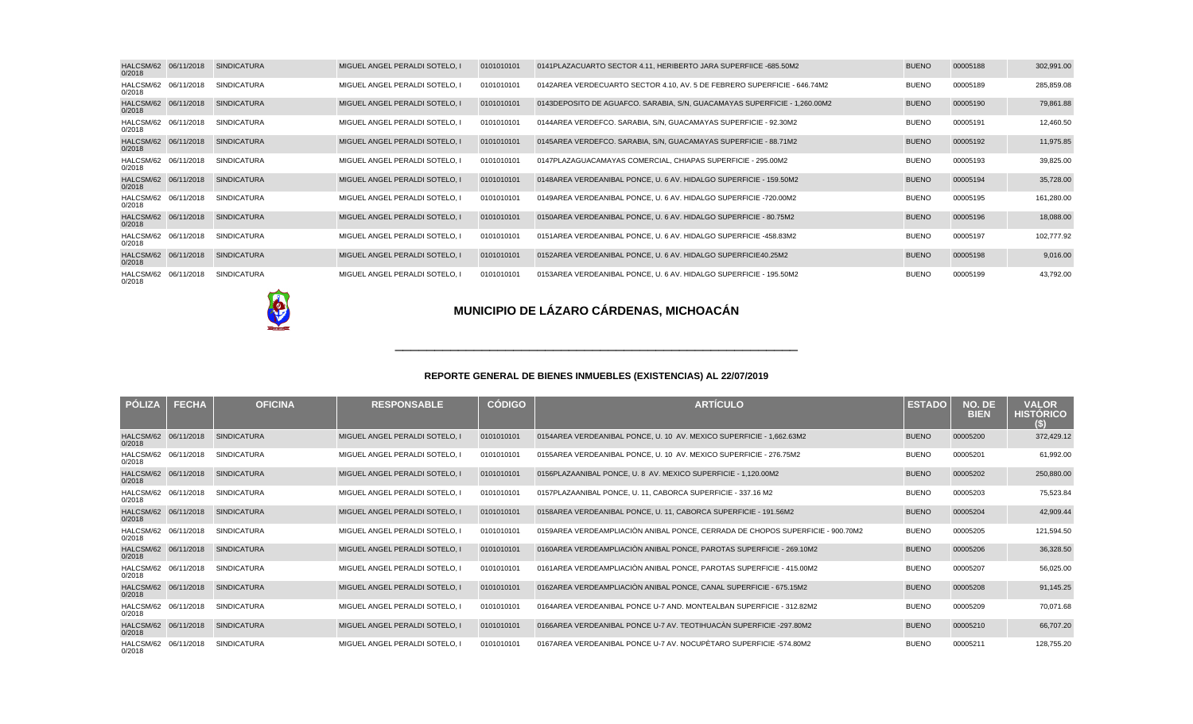| HALCSM/62 06/11/2018<br>0/2018 | <b>SINDICATURA</b> | MIGUEL ANGEL PERALDI SOTELO, I | 0101010101 | 0141 PLAZA CUARTO SECTOR 4.11, HERIBERTO JARA SUPERFIICE - 685.50M2         | <b>BUENO</b> | 00005188 | 302,991.00 |
|--------------------------------|--------------------|--------------------------------|------------|-----------------------------------------------------------------------------|--------------|----------|------------|
| HALCSM/62 06/11/2018<br>0/2018 | <b>SINDICATURA</b> | MIGUEL ANGEL PERALDI SOTELO. I | 0101010101 | 0142 AREA VERDE CUARTO SECTOR 4.10, AV. 5 DE FEBRERO SUPERFICIE - 646.74M2  | <b>BUENO</b> | 00005189 | 285,859.08 |
| HALCSM/62 06/11/2018<br>0/2018 | <b>SINDICATURA</b> | MIGUEL ANGEL PERALDI SOTELO, I | 0101010101 | 0143 DEPOSITO DE AGUA FCO. SARABIA, S/N, GUACAMAYAS SUPERFICIE - 1,260.00M2 | <b>BUENO</b> | 00005190 | 79,861.88  |
| HALCSM/62 06/11/2018<br>0/2018 | <b>SINDICATURA</b> | MIGUEL ANGEL PERALDI SOTELO. I | 0101010101 | 0144 AREA VERDE FCO. SARABIA, S/N, GUACAMAYAS SUPERFICIE - 92.30M2          | <b>BUENO</b> | 00005191 | 12,460.50  |
| HALCSM/62 06/11/2018<br>0/2018 | <b>SINDICATURA</b> | MIGUEL ANGEL PERALDI SOTELO. I | 0101010101 | 0145 AREA VERDE FCO. SARABIA, S/N, GUACAMAYAS SUPERFICIE - 88.71M2          | <b>BUENO</b> | 00005192 | 11,975.85  |
| HALCSM/62 06/11/2018<br>0/2018 | <b>SINDICATURA</b> | MIGUEL ANGEL PERALDI SOTELO. I | 0101010101 | 0147 PLAZA GUACAMAYAS COMERCIAL. CHIAPAS SUPERFICIE - 295.00M2              | <b>BUENO</b> | 00005193 | 39,825.00  |
| HALCSM/62 06/11/2018<br>0/2018 | <b>SINDICATURA</b> | MIGUEL ANGEL PERALDI SOTELO. I | 0101010101 | 0148 AREA VERDE ANIBAL PONCE, U. 6 AV. HIDALGO SUPERFICIE - 159.50M2        | <b>BUENO</b> | 00005194 | 35,728.00  |
| HALCSM/62 06/11/2018<br>0/2018 | <b>SINDICATURA</b> | MIGUEL ANGEL PERALDI SOTELO. I | 0101010101 | 0149 AREA VERDE ANIBAL PONCE, U. 6 AV. HIDALGO SUPERFICIE - 720.00M2        | <b>BUENO</b> | 00005195 | 161,280.00 |
| HALCSM/62 06/11/2018<br>0/2018 | <b>SINDICATURA</b> | MIGUEL ANGEL PERALDI SOTELO. I | 0101010101 | 0150 AREA VERDE ANIBAL PONCE, U. 6 AV. HIDALGO SUPERFICIE - 80.75M2         | <b>BUENO</b> | 00005196 | 18,088.00  |
| HALCSM/62 06/11/2018<br>0/2018 | <b>SINDICATURA</b> | MIGUEL ANGEL PERALDI SOTELO. I | 0101010101 | 0151 AREA VERDE ANIBAL PONCE, U. 6 AV. HIDALGO SUPERFICIE - 458.83M2        | <b>BUENO</b> | 00005197 | 102.777.92 |
| HALCSM/62 06/11/2018<br>0/2018 | <b>SINDICATURA</b> | MIGUEL ANGEL PERALDI SOTELO. I | 0101010101 | 0152 AREA VERDE ANIBAL PONCE, U. 6 AV. HIDALGO SUPERFICIE 40.25M2           | <b>BUENO</b> | 00005198 | 9,016.00   |
| HALCSM/62 06/11/2018<br>0/2018 | <b>SINDICATURA</b> | MIGUEL ANGEL PERALDI SOTELO. I | 0101010101 | 0153 AREA VERDE ANIBAL PONCE, U. 6 AV. HIDALGO SUPERFICIE - 195.50M2        | <b>BUENO</b> | 00005199 | 43,792.00  |



| PÓLIZA                         | <b>FECHA</b> | <b>OFICINA</b>     | <b>RESPONSABLE</b>             | <b>CÓDIGO</b> | <b>ARTÍCULO</b>                                                                  | <b>ESTADO</b> | NO. DE<br><b>BIEN</b> | <b>VALOR</b><br><b>HISTÓRICO</b><br>(\$) |
|--------------------------------|--------------|--------------------|--------------------------------|---------------|----------------------------------------------------------------------------------|---------------|-----------------------|------------------------------------------|
| HALCSM/62 06/11/2018<br>0/2018 |              | <b>SINDICATURA</b> | MIGUEL ANGEL PERALDI SOTELO. I | 0101010101    | 0154 AREA VERDE ANIBAL PONCE, U. 10 AV. MEXICO SUPERFICIE - 1,662.63M2           | <b>BUENO</b>  | 00005200              | 372,429.12                               |
| HALCSM/62 06/11/2018<br>0/2018 |              | <b>SINDICATURA</b> | MIGUEL ANGEL PERALDI SOTELO. I | 0101010101    | 0155 AREA VERDE ANIBAL PONCE, U. 10 AV. MEXICO SUPERFICIE - 276.75M2             | <b>BUENO</b>  | 00005201              | 61,992.00                                |
| HALCSM/62 06/11/2018<br>0/2018 |              | <b>SINDICATURA</b> | MIGUEL ANGEL PERALDI SOTELO. I | 0101010101    | 0156 PLAZA ANIBAL PONCE, U. 8 AV. MEXICO SUPERFICIE - 1,120.00M2                 | <b>BUENO</b>  | 00005202              | 250,880.00                               |
| HALCSM/62 06/11/2018<br>0/2018 |              | <b>SINDICATURA</b> | MIGUEL ANGEL PERALDI SOTELO. I | 0101010101    | 0157 PLAZA ANIBAL PONCE, U. 11, CABORCA SUPERFICIE - 337.16 M2                   | <b>BUENO</b>  | 00005203              | 75,523.84                                |
| HALCSM/62 06/11/2018<br>0/2018 |              | <b>SINDICATURA</b> | MIGUEL ANGEL PERALDI SOTELO. I | 0101010101    | 0158 AREA VERDE ANIBAL PONCE, U. 11, CABORCA SUPERFICIE - 191.56M2               | <b>BUENO</b>  | 00005204              | 42,909.44                                |
| HALCSM/62 06/11/2018<br>0/2018 |              | <b>SINDICATURA</b> | MIGUEL ANGEL PERALDI SOTELO. I | 0101010101    | 0159 AREA VERDE AMPLIACIÓN ANIBAL PONCE, CERRADA DE CHOPOS SUPERFICIE - 900.70M2 | <b>BUENO</b>  | 00005205              | 121,594.50                               |
| HALCSM/62 06/11/2018<br>0/2018 |              | <b>SINDICATURA</b> | MIGUEL ANGEL PERALDI SOTELO. I | 0101010101    | 0160 AREA VERDE AMPLIACIÓN ANIBAL PONCE, PAROTAS SUPERFICIE - 269.10M2           | <b>BUENO</b>  | 00005206              | 36,328.50                                |
| HALCSM/62 06/11/2018<br>0/2018 |              | <b>SINDICATURA</b> | MIGUEL ANGEL PERALDI SOTELO. I | 0101010101    | 0161 AREA VERDE AMPLIACIÓN ANIBAL PONCE, PAROTAS SUPERFICIE - 415.00M2           | <b>BUENO</b>  | 00005207              | 56,025.00                                |
| HALCSM/62 06/11/2018<br>0/2018 |              | <b>SINDICATURA</b> | MIGUEL ANGEL PERALDI SOTELO, I | 0101010101    | 0162 AREA VERDE AMPLIACIÓN ANIBAL PONCE, CANAL SUPERFICIE - 675.15M2             | <b>BUENO</b>  | 00005208              | 91,145.25                                |
| HALCSM/62 06/11/2018<br>0/2018 |              | <b>SINDICATURA</b> | MIGUEL ANGEL PERALDI SOTELO. I | 0101010101    | 0164 AREA VERDE ANIBAL PONCE U-7 AND. MONTEALBAN SUPERFICIE - 312.82M2           | <b>BUENO</b>  | 00005209              | 70,071.68                                |
| HALCSM/62 06/11/2018<br>0/2018 |              | <b>SINDICATURA</b> | MIGUEL ANGEL PERALDI SOTELO, I | 0101010101    | 0166 AREA VERDE ANIBAL PONCE U-7 AV. TEOTIHUACÀN SUPERFICIE - 297.80M2           | <b>BUENO</b>  | 00005210              | 66,707.20                                |
| HALCSM/62 06/11/2018<br>0/2018 |              | <b>SINDICATURA</b> | MIGUEL ANGEL PERALDI SOTELO. I | 0101010101    | 0167 AREA VERDE ANIBAL PONCE U-7 AV. NOCUPÈTARO SUPERFICIE -574.80M2             | <b>BUENO</b>  | 00005211              | 128,755.20                               |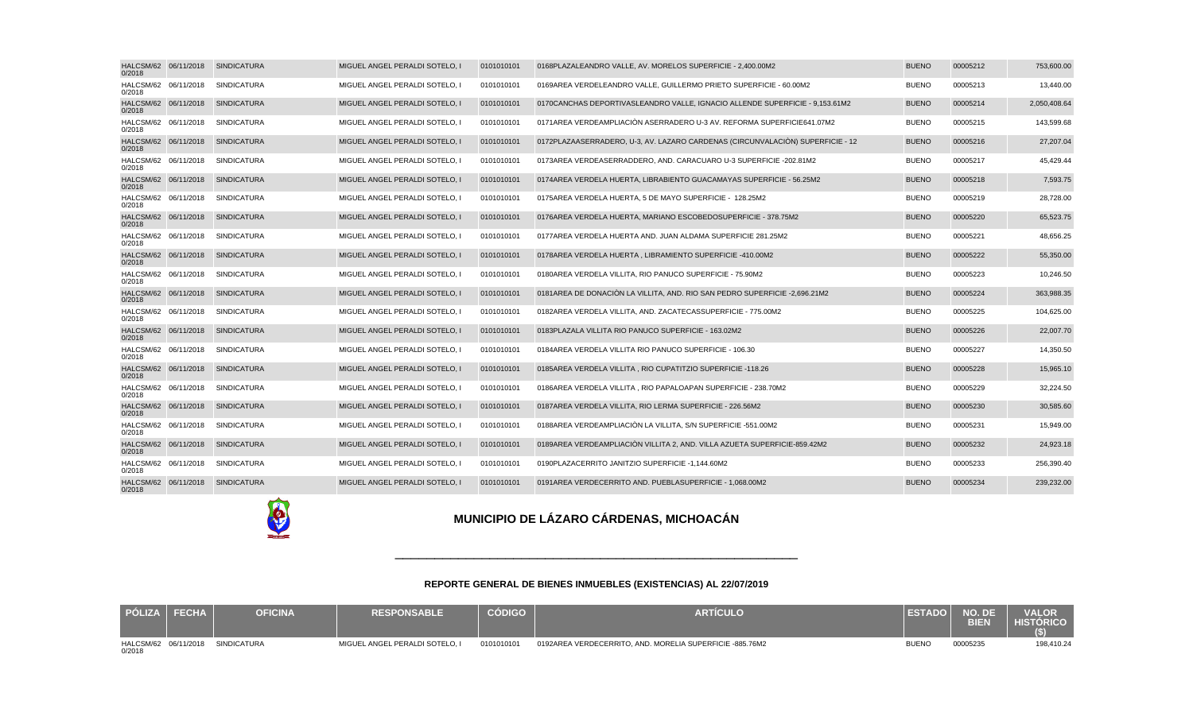| PÓLIZA FECHA | <b>OFICINA</b>                   | <b>RESPONSABLE</b>             | <b>CÓDIGO</b> | <b>ARTÍCULO</b>                                             | <b>ESTADO</b> | NO. DE<br><b>BIEN</b> | <b>VALOR</b><br><b>HISTÓRICO</b> |
|--------------|----------------------------------|--------------------------------|---------------|-------------------------------------------------------------|---------------|-----------------------|----------------------------------|
| 0/2018       | HALCSM/62 06/11/2018 SINDICATURA | MIGUEL ANGEL PERALDI SOTELO. I | 0101010101    | 0192 AREA VERDE CERRITO, AND. MORELIA SUPERFICIE - 885.76M2 | <b>BUENO</b>  | 00005235              | 198,410.24                       |

#### **REPORTE GENERAL DE BIENES INMUEBLES (EXISTENCIAS) AL 22/07/2019**

# **MUNICIPIO DE LÁZARO CÁRDENAS, MICHOACÁN**

| HALCSM/62 06/11/2018<br>0/2018 | <b>SINDICATURA</b>               | MIGUEL ANGEL PERALDI SOTELO, I | 0101010101 | 0168 PLAZA LEANDRO VALLE, AV. MORELOS SUPERFICIE - 2,400.00M2                    | <b>BUENO</b> | 00005212 | 753,600.00   |
|--------------------------------|----------------------------------|--------------------------------|------------|----------------------------------------------------------------------------------|--------------|----------|--------------|
| HALCSM/62 06/11/2018<br>0/2018 | <b>SINDICATURA</b>               | MIGUEL ANGEL PERALDI SOTELO. I | 0101010101 | 0169 AREA VERDE LEANDRO VALLE, GUILLERMO PRIETO SUPERFICIE - 60.00M2             | <b>BUENO</b> | 00005213 | 13,440.00    |
| HALCSM/62 06/11/2018<br>0/2018 | <b>SINDICATURA</b>               | MIGUEL ANGEL PERALDI SOTELO, I | 0101010101 | 0170 CANCHAS DEPORTIVAS LEANDRO VALLE, IGNACIO ALLENDE SUPERFICIE - 9,153.61M2   | <b>BUENO</b> | 00005214 | 2,050,408.64 |
| HALCSM/62 06/11/2018<br>0/2018 | <b>SINDICATURA</b>               | MIGUEL ANGEL PERALDI SOTELO, I | 0101010101 | 0171 AREA VERDE AMPLIACIÓN ASERRADERO U-3 AV. REFORMA SUPERFICIE 641.07M2        | <b>BUENO</b> | 00005215 | 143,599.68   |
| HALCSM/62 06/11/2018<br>0/2018 | <b>SINDICATURA</b>               | MIGUEL ANGEL PERALDI SOTELO, I | 0101010101 | 0172 PLAZA ASERRADERO, U-3, AV. LAZARO CARDENAS (CIRCUNVALACIÓN) SUPERFICIE - 12 | <b>BUENO</b> | 00005216 | 27,207.04    |
| HALCSM/62 06/11/2018<br>0/2018 | <b>SINDICATURA</b>               | MIGUEL ANGEL PERALDI SOTELO. I | 0101010101 | 0173 AREA VERDE ASERRADDERO. AND. CARACUARO U-3 SUPERFICIE - 202.81M2            | <b>BUENO</b> | 00005217 | 45,429.44    |
| HALCSM/62 06/11/2018<br>0/2018 | <b>SINDICATURA</b>               | MIGUEL ANGEL PERALDI SOTELO, I | 0101010101 | 0174 AREA VERDE LA HUERTA. LIBRABIENTO GUACAMAYAS SUPERFICIE - 56.25M2           | <b>BUENO</b> | 00005218 | 7,593.75     |
| HALCSM/62 06/11/2018<br>0/2018 | SINDICATURA                      | MIGUEL ANGEL PERALDI SOTELO, I | 0101010101 | 0175 AREA VERDE LA HUERTA, 5 DE MAYO SUPERFICIE - 128.25M2                       | <b>BUENO</b> | 00005219 | 28,728.00    |
| HALCSM/62 06/11/2018<br>0/2018 | <b>SINDICATURA</b>               | MIGUEL ANGEL PERALDI SOTELO, I | 0101010101 | 0176 AREA VERDE LA HUERTA, MARIANO ESCOBEDO SUPERFICIE - 378,75M2                | <b>BUENO</b> | 00005220 | 65,523.75    |
| HALCSM/62 06/11/2018<br>0/2018 | <b>SINDICATURA</b>               | MIGUEL ANGEL PERALDI SOTELO.   | 0101010101 | 0177 AREA VERDE LA HUERTA AND. JUAN ALDAMA SUPERFICIE 281.25M2                   | <b>BUENO</b> | 00005221 | 48,656.25    |
| HALCSM/62 06/11/2018<br>0/2018 | <b>SINDICATURA</b>               | MIGUEL ANGEL PERALDI SOTELO, I | 0101010101 | 0178 AREA VERDE LA HUERTA, LIBRAMIENTO SUPERFICIE - 410.00M2                     | <b>BUENO</b> | 00005222 | 55,350.00    |
| HALCSM/62 06/11/2018<br>0/2018 | <b>SINDICATURA</b>               | MIGUEL ANGEL PERALDI SOTELO, I | 0101010101 | 0180 AREA VERDE LA VILLITA, RIO PANUCO SUPERFICIE - 75.90M2                      | <b>BUENO</b> | 00005223 | 10,246.50    |
| HALCSM/62 06/11/2018<br>0/2018 | <b>SINDICATURA</b>               | MIGUEL ANGEL PERALDI SOTELO, I | 0101010101 | 0181 AREA DE DONACIÓN LA VILLITA, AND. RIO SAN PEDRO SUPERFICIE - 2,696.21M2     | <b>BUENO</b> | 00005224 | 363,988.35   |
| HALCSM/62 06/11/2018<br>0/2018 | <b>SINDICATURA</b>               | MIGUEL ANGEL PERALDI SOTELO. I | 0101010101 | 0182 AREA VERDE LA VILLITA, AND, ZACATECAS SUPERFICIE - 775.00M2                 | <b>BUENO</b> | 00005225 | 104.625.00   |
| HALCSM/62 06/11/2018<br>0/2018 | <b>SINDICATURA</b>               | MIGUEL ANGEL PERALDI SOTELO, I | 0101010101 | 0183 PLAZA LA VILLITA RIO PANUCO SUPERFICIE - 163.02M2                           | <b>BUENO</b> | 00005226 | 22,007.70    |
| HALCSM/62 06/11/2018<br>0/2018 | SINDICATURA                      | MIGUEL ANGEL PERALDI SOTELO, I | 0101010101 | 0184 AREA VERDE LA VILLITA RIO PANUCO SUPERFICIE - 106.30                        | <b>BUENO</b> | 00005227 | 14,350.50    |
| 0/2018                         | HALCSM/62 06/11/2018 SINDICATURA | MIGUEL ANGEL PERALDI SOTELO, I | 0101010101 | 0185 AREA VERDE LA VILLITA, RIO CUPATITZIO SUPERFICIE - 118.26                   | <b>BUENO</b> | 00005228 | 15,965.10    |
| HALCSM/62 06/11/2018<br>0/2018 | SINDICATURA                      | MIGUEL ANGEL PERALDI SOTELO, I | 0101010101 | 0186 AREA VERDE LA VILLITA, RIO PAPALOAPAN SUPERFICIE - 238.70M2                 | <b>BUENO</b> | 00005229 | 32,224.50    |
| HALCSM/62 06/11/2018<br>0/2018 | <b>SINDICATURA</b>               | MIGUEL ANGEL PERALDI SOTELO. I | 0101010101 | 0187 AREA VERDE LA VILLITA. RIO LERMA SUPERFICIE - 226.56M2                      | <b>BUENO</b> | 00005230 | 30,585.60    |
| HALCSM/62 06/11/2018<br>0/2018 | <b>SINDICATURA</b>               | MIGUEL ANGEL PERALDI SOTELO, I | 0101010101 | 0188 AREA VERDE AMPLIACIÓN LA VILLITA, S/N SUPERFICIE - 551.00M2                 | <b>BUENO</b> | 00005231 | 15,949.00    |
| HALCSM/62 06/11/2018<br>0/2018 | <b>SINDICATURA</b>               | MIGUEL ANGEL PERALDI SOTELO, I | 0101010101 | 0189 AREA VERDE AMPLIACIÓN VILLITA 2, AND. VILLA AZUETA SUPERFICIE- 859.42M2     | <b>BUENO</b> | 00005232 | 24,923.18    |
| HALCSM/62 06/11/2018<br>0/2018 | SINDICATURA                      | MIGUEL ANGEL PERALDI SOTELO, I | 0101010101 | 0190 PLAZA CERRITO JANITZIO SUPERFICIE - 1,144.60M2                              | <b>BUENO</b> | 00005233 | 256,390.40   |
| HALCSM/62 06/11/2018<br>0/2018 | <b>SINDICATURA</b>               | MIGUEL ANGEL PERALDI SOTELO. I | 0101010101 | 0191 AREA VERDE CERRITO AND. PUEBLA SUPERFICIE - 1.068.00M2                      | <b>BUENO</b> | 00005234 | 239,232.00   |
|                                |                                  |                                |            |                                                                                  |              |          |              |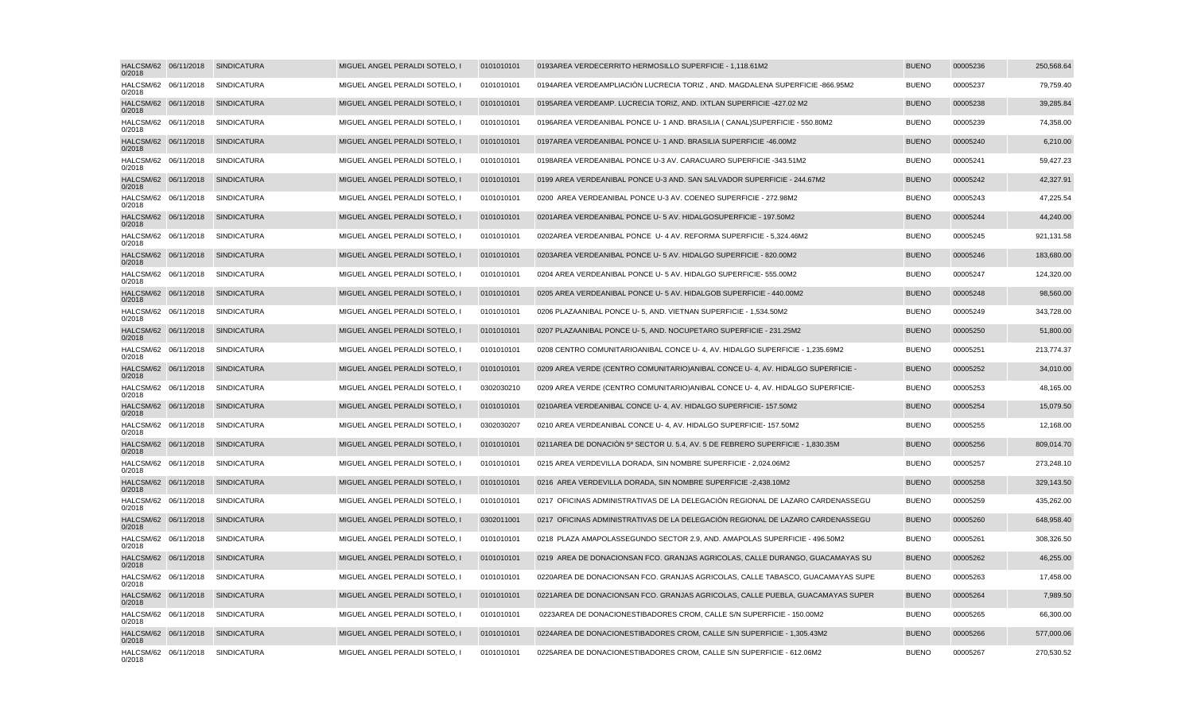| HALCSM/62 06/11/2018<br>0/2018 | SINDICATURA                      | MIGUEL ANGEL PERALDI SOTELO, I | 0101010101 | 0193 AREA VERDE CERRITO HERMOSILLO SUPERFICIE - 1,118.61M2                       | <b>BUENO</b> | 00005236 | 250,568.64 |
|--------------------------------|----------------------------------|--------------------------------|------------|----------------------------------------------------------------------------------|--------------|----------|------------|
| HALCSM/62 06/11/2018<br>0/2018 | SINDICATURA                      | MIGUEL ANGEL PERALDI SOTELO, I | 0101010101 | 0194 AREA VERDE AMPLIACIÓN LUCRECIA TORIZ , AND, MAGDALENA SUPERFICIE - 866.95M2 | <b>BUENO</b> | 00005237 | 79,759.40  |
| HALCSM/62 06/11/2018<br>0/2018 | <b>SINDICATURA</b>               | MIGUEL ANGEL PERALDI SOTELO, I | 0101010101 | 0195 AREA VERDE AMP. LUCRECIA TORIZ, AND. IXTLAN SUPERFICIE - 427.02 M2          | <b>BUENO</b> | 00005238 | 39,285.84  |
| HALCSM/62 06/11/2018<br>0/2018 | SINDICATURA                      | MIGUEL ANGEL PERALDI SOTELO, I | 0101010101 | 0196 AREA VERDE ANIBAL PONCE U-1 AND. BRASILIA (CANAL) SUPERFICIE - 550.80M2     | <b>BUENO</b> | 00005239 | 74,358.00  |
| HALCSM/62 06/11/2018<br>0/2018 | <b>SINDICATURA</b>               | MIGUEL ANGEL PERALDI SOTELO, I | 0101010101 | 0197 AREA VERDE ANIBAL PONCE U-1 AND. BRASILIA SUPERFICIE - 46.00M2              | <b>BUENO</b> | 00005240 | 6,210.00   |
| HALCSM/62 06/11/2018<br>0/2018 | <b>SINDICATURA</b>               | MIGUEL ANGEL PERALDI SOTELO, I | 0101010101 | 0198 AREA VERDE ANIBAL PONCE U-3 AV. CARACUARO SUPERFICIE - 343.51M2             | <b>BUENO</b> | 00005241 | 59,427.23  |
| HALCSM/62 06/11/2018<br>0/2018 | <b>SINDICATURA</b>               | MIGUEL ANGEL PERALDI SOTELO, I | 0101010101 | 0199 AREA VERDE ANIBAL PONCE U-3 AND. SAN SALVADOR SUPERFICIE - 244.67M2         | <b>BUENO</b> | 00005242 | 42,327.91  |
| HALCSM/62 06/11/2018<br>0/2018 | <b>SINDICATURA</b>               | MIGUEL ANGEL PERALDI SOTELO, I | 0101010101 | 0200 AREA VERDE ANIBAL PONCE U-3 AV. COENEO SUPERFICIE - 272.98M2                | <b>BUENO</b> | 00005243 | 47,225.54  |
| HALCSM/62 06/11/2018<br>0/2018 | SINDICATURA                      | MIGUEL ANGEL PERALDI SOTELO, I | 0101010101 | 0201 AREA VERDE ANIBAL PONCE U- 5 AV. HIDALGO SUPERFICIE - 197.50M2              | <b>BUENO</b> | 00005244 | 44,240.00  |
| HALCSM/62 06/11/2018<br>0/2018 | <b>SINDICATURA</b>               | MIGUEL ANGEL PERALDI SOTELO, I | 0101010101 | 0202 AREA VERDE ANIBAL PONCE U-4 AV. REFORMA SUPERFICIE - 5,324.46M2             | <b>BUENO</b> | 00005245 | 921,131.58 |
| HALCSM/62 06/11/2018<br>0/2018 | <b>SINDICATURA</b>               | MIGUEL ANGEL PERALDI SOTELO. I | 0101010101 | 0203 AREA VERDE ANIBAL PONCE U- 5 AV. HIDALGO SUPERFICIE - 820.00M2              | <b>BUENO</b> | 00005246 | 183,680.00 |
| HALCSM/62 06/11/2018<br>0/2018 | SINDICATURA                      | MIGUEL ANGEL PERALDI SOTELO, I | 0101010101 | 0204 AREA VERDE ANIBAL PONCE U- 5 AV. HIDALGO SUPERFICIE - 555.00M2              | <b>BUENO</b> | 00005247 | 124,320.00 |
| HALCSM/62 06/11/2018<br>0/2018 | <b>SINDICATURA</b>               | MIGUEL ANGEL PERALDI SOTELO, I | 0101010101 | 0205 AREA VERDE ANIBAL PONCE U- 5 AV. HIDALGOB SUPERFICIE - 440.00M2             | <b>BUENO</b> | 00005248 | 98,560.00  |
| HALCSM/62 06/11/2018<br>0/2018 | <b>SINDICATURA</b>               | MIGUEL ANGEL PERALDI SOTELO, I | 0101010101 | 0206 PLAZA ANIBAL PONCE U-5, AND. VIETNAN SUPERFICIE - 1,534.50M2                | <b>BUENO</b> | 00005249 | 343,728.00 |
| HALCSM/62 06/11/2018<br>0/2018 | SINDICATURA                      | MIGUEL ANGEL PERALDI SOTELO, I | 0101010101 | 0207 PLAZA ANIBAL PONCE U-5, AND. NOCUPETARO SUPERFICIE - 231.25M2               | <b>BUENO</b> | 00005250 | 51,800.00  |
| HALCSM/62 06/11/2018<br>0/2018 | <b>SINDICATURA</b>               | MIGUEL ANGEL PERALDI SOTELO. I | 0101010101 | 0208 CENTRO COMUNITARIO ANIBAL CONCE U-4, AV, HIDALGO SUPERFICIE - 1.235.69M2    | <b>BUENO</b> | 00005251 | 213,774.37 |
| HALCSM/62 06/11/2018<br>0/2018 | <b>SINDICATURA</b>               | MIGUEL ANGEL PERALDI SOTELO, I | 0101010101 | 0209 AREA VERDE (CENTRO COMUNITARIO) ANIBAL CONCE U-4, AV. HIDALGO SUPERFICIE -  | <b>BUENO</b> | 00005252 | 34,010.00  |
| HALCSM/62 06/11/2018<br>0/2018 | <b>SINDICATURA</b>               | MIGUEL ANGEL PERALDI SOTELO, I | 0302030210 | 0209 AREA VERDE (CENTRO COMUNITARIO) ANIBAL CONCE U-4, AV. HIDALGO SUPERFICIE -  | <b>BUENO</b> | 00005253 | 48,165.00  |
| HALCSM/62 06/11/2018<br>0/2018 | <b>SINDICATURA</b>               | MIGUEL ANGEL PERALDI SOTELO. I | 0101010101 | 0210 AREA VERDE ANIBAL CONCE U-4, AV, HIDALGO SUPERFICIE - 157,50M2              | <b>BUENO</b> | 00005254 | 15,079.50  |
| HALCSM/62 06/11/2018<br>0/2018 | <b>SINDICATURA</b>               | MIGUEL ANGEL PERALDI SOTELO, I | 0302030207 | 0210 AREA VERDE ANIBAL CONCE U-4, AV. HIDALGO SUPERFICIE - 157.50M2              | <b>BUENO</b> | 00005255 | 12,168.00  |
| HALCSM/62 06/11/2018<br>0/2018 | <b>SINDICATURA</b>               | MIGUEL ANGEL PERALDI SOTELO, I | 0101010101 | 0211 AREA DE DONACIÓN 5º SECTOR U. 5.4, AV. 5 DE FEBRERO SUPERFICIE - 1,830.35M  | <b>BUENO</b> | 00005256 | 809,014.70 |
| HALCSM/62 06/11/2018<br>0/2018 | <b>SINDICATURA</b>               | MIGUEL ANGEL PERALDI SOTELO, I | 0101010101 | 0215 AREA VERDE VILLA DORADA, SIN NOMBRE SUPERFICIE - 2,024.06M2                 | <b>BUENO</b> | 00005257 | 273,248.10 |
| HALCSM/62 06/11/2018<br>0/2018 | <b>SINDICATURA</b>               | MIGUEL ANGEL PERALDI SOTELO, I | 0101010101 | 0216 AREA VERDE VILLA DORADA, SIN NOMBRE SUPERFICIE - 2,438.10M2                 | <b>BUENO</b> | 00005258 | 329,143.50 |
| HALCSM/62 06/11/2018<br>0/2018 | SINDICATURA                      | MIGUEL ANGEL PERALDI SOTELO, I | 0101010101 | 0217 OFICINAS ADMINISTRATIVAS DE LA DELEGACIÓN REGIONAL DE LAZARO CARDENAS SEGU  | <b>BUENO</b> | 00005259 | 435,262.00 |
| HALCSM/62 06/11/2018<br>0/2018 | <b>SINDICATURA</b>               | MIGUEL ANGEL PERALDI SOTELO. I | 0302011001 | 0217 OFICINAS ADMINISTRATIVAS DE LA DELEGACIÓN REGIONAL DE LAZARO CARDENAS SEGU  | <b>BUENO</b> | 00005260 | 648,958.40 |
| HALCSM/62 06/11/2018<br>0/2018 | SINDICATURA                      | MIGUEL ANGEL PERALDI SOTELO, I | 0101010101 | 0218 PLAZA AMAPOLAS SEGUNDO SECTOR 2.9, AND. AMAPOLAS SUPERFICIE - 496.50M2      | <b>BUENO</b> | 00005261 | 308,326.50 |
| HALCSM/62 06/11/2018<br>0/2018 | <b>SINDICATURA</b>               | MIGUEL ANGEL PERALDI SOTELO, I | 0101010101 | 0219 AREA DE DONACION SAN FCO. GRANJAS AGRICOLAS, CALLE DURANGO, GUACAMAYAS SU   | <b>BUENO</b> | 00005262 | 46,255.00  |
| HALCSM/62 06/11/2018<br>0/2018 | <b>SINDICATURA</b>               | MIGUEL ANGEL PERALDI SOTELO, I | 0101010101 | 0220 AREA DE DONACION SAN FCO. GRANJAS AGRICOLAS, CALLE TABASCO, GUACAMAYAS SUPE | <b>BUENO</b> | 00005263 | 17,458.00  |
| HALCSM/62 06/11/2018<br>0/2018 | <b>SINDICATURA</b>               | MIGUEL ANGEL PERALDI SOTELO, I | 0101010101 | 0221 AREA DE DONACION SAN FCO. GRANJAS AGRICOLAS, CALLE PUEBLA, GUACAMAYAS SUPER | <b>BUENO</b> | 00005264 | 7,989.50   |
| HALCSM/62 06/11/2018<br>0/2018 | <b>SINDICATURA</b>               | MIGUEL ANGEL PERALDI SOTELO. I | 0101010101 | 0223 AREA DE DONACION ESTIBADORES CROM, CALLE S/N SUPERFICIE - 150,00M2          | <b>BUENO</b> | 00005265 | 66,300.00  |
| HALCSM/62 06/11/2018<br>0/2018 | SINDICATURA                      | MIGUEL ANGEL PERALDI SOTELO, I | 0101010101 | 0224 AREA DE DONACION ESTIBADORES CROM, CALLE S/N SUPERFICIE - 1,305.43M2        | <b>BUENO</b> | 00005266 | 577,000.06 |
| 0/2018                         | HALCSM/62 06/11/2018 SINDICATURA | MIGUEL ANGEL PERALDI SOTELO, I | 0101010101 | 0225 AREA DE DONACION ESTIBADORES CROM, CALLE S/N SUPERFICIE - 612.06M2          | <b>BUENO</b> | 00005267 | 270,530.52 |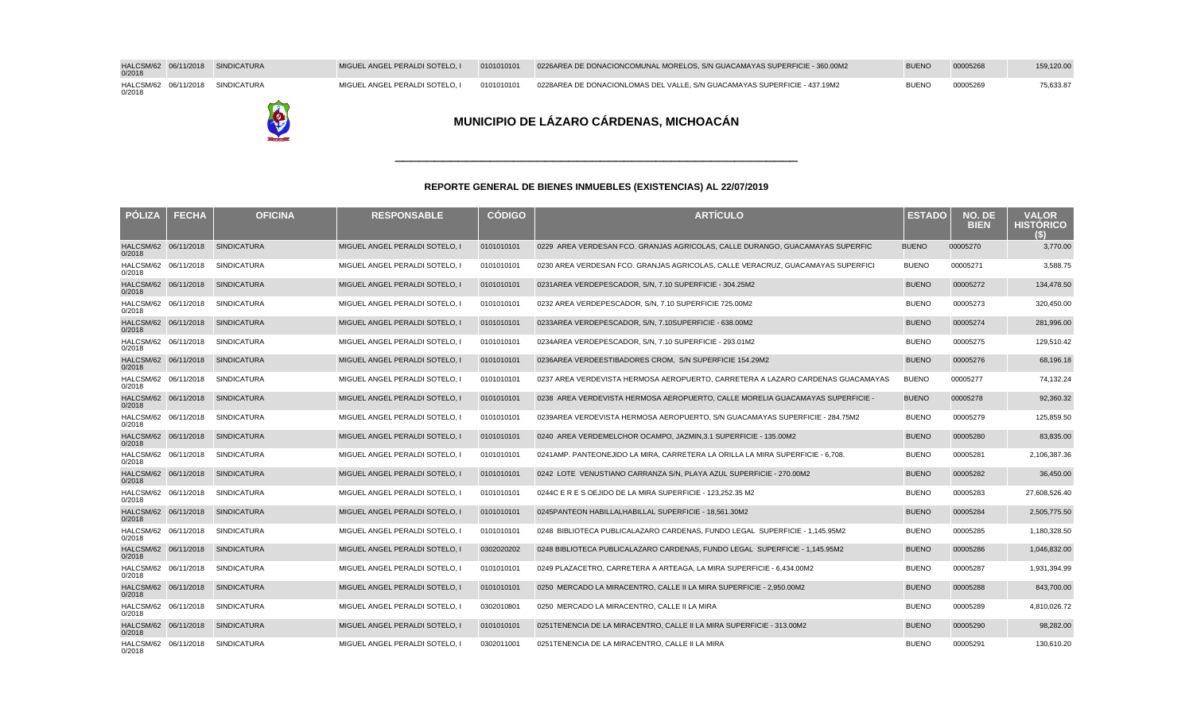| HALCSM/62 06/11/2018 SINDICATURA<br>0/2018 |  | MIGUEL ANGEL PERALDI SOTELO. I | 0101010101 | 0226 AREA DE DONACION COMUNAL MORELOS, S/N GUACAMAYAS SUPERFICIE - 360.00M2 | <b>BUENO</b> | 00005268 | 159,120.00 |
|--------------------------------------------|--|--------------------------------|------------|-----------------------------------------------------------------------------|--------------|----------|------------|
| HALCSM/62 06/11/2018 SINDICATURA<br>0/2018 |  | MIGUEL ANGEL PERALDI SOTELO. I | 0101010101 | 0228 AREA DE DONACION LOMAS DEL VALLE, S/N GUACAMAYAS SUPERFICIE - 437.19M2 | <b>BUENO</b> | 00005269 | 75,633.87  |



| <b>POLIZA</b>                  | <b>FECHA</b> | <b>OFICINA</b>                   | <b>RESPONSABLE</b>             | <b>CÓDIGO</b> | <b>ARTÍCULO</b>                                                                  | <b>ESTADO</b> | NO. DE<br><b>BIEN</b> | <b>VALOR</b><br><b>HISTÓRICO</b><br>(S) |
|--------------------------------|--------------|----------------------------------|--------------------------------|---------------|----------------------------------------------------------------------------------|---------------|-----------------------|-----------------------------------------|
| HALCSM/62 06/11/2018<br>0/2018 |              | SINDICATURA                      | MIGUEL ANGEL PERALDI SOTELO, I | 0101010101    | 0229 AREA VERDE SAN FCO. GRANJAS AGRICOLAS, CALLE DURANGO, GUACAMAYAS SUPERFIC   | <b>BUENO</b>  | 00005270              | 3,770.00                                |
| HALCSM/62 06/11/2018<br>0/2018 |              | <b>SINDICATURA</b>               | MIGUEL ANGEL PERALDI SOTELO, I | 0101010101    | 0230 AREA VERDE SAN FCO. GRANJAS AGRICOLAS, CALLE VERACRUZ, GUACAMAYAS SUPERFICI | <b>BUENO</b>  | 00005271              | 3,588.75                                |
| HALCSM/62 06/11/2018<br>0/2018 |              | <b>SINDICATURA</b>               | MIGUEL ANGEL PERALDI SOTELO, I | 0101010101    | 0231 AREA VERDE PESCADOR, S/N, 7.10 SUPERFICIE - 304.25M2                        | <b>BUENO</b>  | 00005272              | 134,478.50                              |
| HALCSM/62 06/11/2018<br>0/2018 |              | <b>SINDICATURA</b>               | MIGUEL ANGEL PERALDI SOTELO, I | 0101010101    | 0232 AREA VERDE PESCADOR, S/N, 7.10 SUPERFICIE 725.00M2                          | <b>BUENO</b>  | 00005273              | 320,450.00                              |
| 0/2018                         |              | HALCSM/62 06/11/2018 SINDICATURA | MIGUEL ANGEL PERALDI SOTELO, I | 0101010101    | 0233 AREA VERDE PESCADOR, S/N, 7.10 SUPERFICIE - 638.00M2                        | <b>BUENO</b>  | 00005274              | 281,996.00                              |
| HALCSM/62 06/11/2018<br>0/2018 |              | <b>SINDICATURA</b>               | MIGUEL ANGEL PERALDI SOTELO, I | 0101010101    | 0234 AREA VERDE PESCADOR, S/N, 7.10 SUPERFICIE - 293.01M2                        | <b>BUENO</b>  | 00005275              | 129,510.42                              |
| HALCSM/62 06/11/2018<br>0/2018 |              | <b>SINDICATURA</b>               | MIGUEL ANGEL PERALDI SOTELO, I | 0101010101    | 0236 AREA VERDE ESTIBADORES CROM. S/N SUPERFICIE 154.29M2                        | <b>BUENO</b>  | 00005276              | 68,196.18                               |
| HALCSM/62 06/11/2018<br>0/2018 |              | <b>SINDICATURA</b>               | MIGUEL ANGEL PERALDI SOTELO, I | 0101010101    | 0237 AREA VERDE VISTA HERMOSA AEROPUERTO, CARRETERA A LAZARO CARDENAS GUACAMAYAS | <b>BUENO</b>  | 00005277              | 74,132.24                               |
| HALCSM/62 06/11/2018<br>0/2018 |              | <b>SINDICATURA</b>               | MIGUEL ANGEL PERALDI SOTELO. I | 0101010101    | 0238 AREA VERDE VISTA HERMOSA AEROPUERTO. CALLE MORELIA GUACAMAYAS SUPERFICIE -  | <b>BUENO</b>  | 00005278              | 92,360.32                               |
| HALCSM/62 06/11/2018<br>0/2018 |              | <b>SINDICATURA</b>               | MIGUEL ANGEL PERALDI SOTELO, I | 0101010101    | 0239 AREA VERDE VISTA HERMOSA AEROPUERTO, S/N GUACAMAYAS SUPERFICIE - 284.75M2   | <b>BUENO</b>  | 00005279              | 125,859.50                              |
| HALCSM/62 06/11/2018<br>0/2018 |              | <b>SINDICATURA</b>               | MIGUEL ANGEL PERALDI SOTELO. I | 0101010101    | 0240 AREA VERDE MELCHOR OCAMPO, JAZMIN.3.1 SUPERFICIE - 135.00M2                 | <b>BUENO</b>  | 00005280              | 83,835.00                               |
| HALCSM/62 06/11/2018<br>0/2018 |              | <b>SINDICATURA</b>               | MIGUEL ANGEL PERALDI SOTELO. I | 0101010101    | 0241 AMP, PANTEON EJIDO LA MIRA, CARRETERA LA ORILLA LA MIRA SUPERFICIE - 6,708. | <b>BUENO</b>  | 00005281              | 2,106,387.36                            |
| HALCSM/62 06/11/2018<br>0/2018 |              | <b>SINDICATURA</b>               | MIGUEL ANGEL PERALDI SOTELO, I | 0101010101    | 0242 LOTE VENUSTIANO CARRANZA S/N, PLAYA AZUL SUPERFICIE - 270.00M2              | <b>BUENO</b>  | 00005282              | 36,450.00                               |
| HALCSM/62 06/11/2018<br>0/2018 |              | <b>SINDICATURA</b>               | MIGUEL ANGEL PERALDI SOTELO, I | 0101010101    | 0244 C E R E S O EJIDO DE LA MIRA SUPERFICIE - 123.252.35 M2                     | <b>BUENO</b>  | 00005283              | 27,608,526.40                           |
| HALCSM/62 06/11/2018<br>0/2018 |              | <b>SINDICATURA</b>               | MIGUEL ANGEL PERALDI SOTELO, I | 0101010101    | 0245 PANTEON HABILLAL HABILLAL SUPERFICIE - 18.561.30M2                          | <b>BUENO</b>  | 00005284              | 2,505,775.50                            |
| HALCSM/62 06/11/2018<br>0/2018 |              | <b>SINDICATURA</b>               | MIGUEL ANGEL PERALDI SOTELO, I | 0101010101    | 0248 BIBLIOTECA PUBLICA LAZARO CARDENAS, FUNDO LEGAL SUPERFICIE - 1,145.95M2     | <b>BUENO</b>  | 00005285              | 1,180,328.50                            |
| HALCSM/62 06/11/2018<br>0/2018 |              | <b>SINDICATURA</b>               | MIGUEL ANGEL PERALDI SOTELO, I | 0302020202    | 0248 BIBLIOTECA PUBLICA LAZARO CARDENAS, FUNDO LEGAL SUPERFICIE - 1.145.95M2     | <b>BUENO</b>  | 00005286              | 1,046,832.00                            |
| HALCSM/62 06/11/2018<br>0/2018 |              | <b>SINDICATURA</b>               | MIGUEL ANGEL PERALDI SOTELO, I | 0101010101    | 0249 PLAZA CETRO, CARRETERA A ARTEAGA, LA MIRA SUPERFICIE - 6,434.00M2           | <b>BUENO</b>  | 00005287              | 1,931,394.99                            |
| HALCSM/62 06/11/2018<br>0/2018 |              | <b>SINDICATURA</b>               | MIGUEL ANGEL PERALDI SOTELO, I | 0101010101    | 0250 MERCADO LA MIRA CENTRO, CALLE II LA MIRA SUPERFICIE - 2,950.00M2            | <b>BUENO</b>  | 00005288              | 843,700.00                              |
| HALCSM/62 06/11/2018<br>0/2018 |              | <b>SINDICATURA</b>               | MIGUEL ANGEL PERALDI SOTELO, I | 0302010801    | 0250 MERCADO LA MIRA CENTRO, CALLE II LA MIRA                                    | <b>BUENO</b>  | 00005289              | 4,810,026.72                            |
| HALCSM/62 06/11/2018<br>0/2018 |              | <b>SINDICATURA</b>               | MIGUEL ANGEL PERALDI SOTELO, I | 0101010101    | 0251 TENENCIA DE LA MIRA CENTRO. CALLE II LA MIRA SUPERFICIE - 313.00M2          | <b>BUENO</b>  | 00005290              | 98,282.00                               |
| HALCSM/62 06/11/2018<br>0/2018 |              | SINDICATURA                      | MIGUEL ANGEL PERALDI SOTELO. I | 0302011001    | 0251 TENENCIA DE LA MIRA CENTRO. CALLE II LA MIRA                                | <b>BUENO</b>  | 00005291              | 130,610.20                              |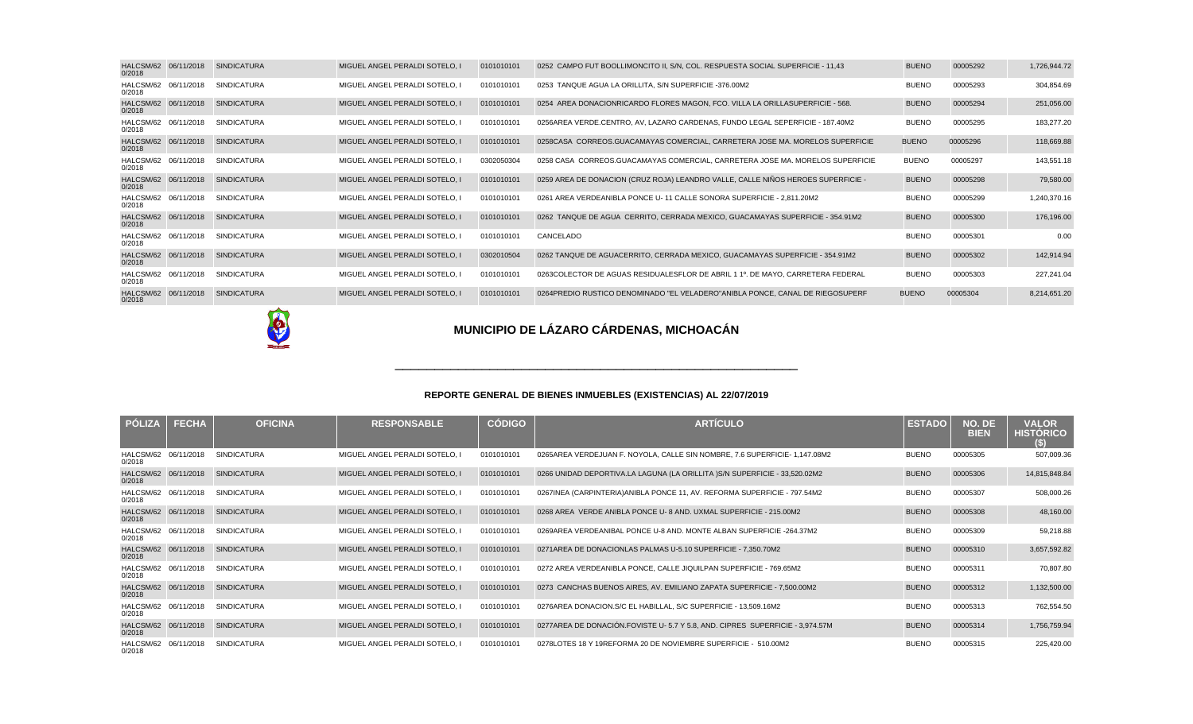| HALCSM/62 06/11/2018<br>0/2018 | <b>SINDICATURA</b> | MIGUEL ANGEL PERALDI SOTELO, I | 0101010101 | 0252 CAMPO FUT BOOL LIMONCITO II, S/N, COL. RESPUESTA SOCIAL SUPERFICIE - 11,43  | <b>BUENO</b> | 00005292 | 1,726,944.72 |
|--------------------------------|--------------------|--------------------------------|------------|----------------------------------------------------------------------------------|--------------|----------|--------------|
| HALCSM/62 06/11/2018<br>0/2018 | SINDICATURA        | MIGUEL ANGEL PERALDI SOTELO, I | 0101010101 | 0253 TANQUE AGUA LA ORILLITA, S/N SUPERFICIE - 376.00M2                          | <b>BUENO</b> | 00005293 | 304,854.69   |
| HALCSM/62 06/11/2018<br>0/2018 | <b>SINDICATURA</b> | MIGUEL ANGEL PERALDI SOTELO, I | 0101010101 | 0254 AREA DONACION RICARDO FLORES MAGON, FCO. VILLA LA ORILLA SUPERFICIE - 568.  | <b>BUENO</b> | 00005294 | 251,056.00   |
| HALCSM/62 06/11/2018<br>0/2018 | <b>SINDICATURA</b> | MIGUEL ANGEL PERALDI SOTELO. I | 0101010101 | 0256 AREA VERDE. CENTRO, AV, LAZARO CARDENAS, FUNDO LEGAL SEPERFICIE - 187.40M2  | <b>BUENO</b> | 00005295 | 183,277.20   |
| HALCSM/62 06/11/2018<br>0/2018 | <b>SINDICATURA</b> | MIGUEL ANGEL PERALDI SOTELO, I | 0101010101 | 0258 CASA CORREOS. GUACAMAYAS COMERCIAL, CARRETERA JOSE MA. MORELOS SUPERFICIE   | <b>BUENO</b> | 00005296 | 118,669.88   |
| HALCSM/62 06/11/2018<br>0/2018 | SINDICATURA        | MIGUEL ANGEL PERALDI SOTELO, I | 0302050304 | 0258 CASA CORREOS. GUACAMAYAS COMERCIAL, CARRETERA JOSE MA. MORELOS SUPERFICIE   | <b>BUENO</b> | 00005297 | 143,551.18   |
| HALCSM/62 06/11/2018<br>0/2018 | <b>SINDICATURA</b> | MIGUEL ANGEL PERALDI SOTELO, I | 0101010101 | 0259 AREA DE DONACION (CRUZ ROJA) LEANDRO VALLE, CALLE NIÑOS HEROES SUPERFICIE - | <b>BUENO</b> | 00005298 | 79,580.00    |
| HALCSM/62 06/11/2018<br>0/2018 | <b>SINDICATURA</b> | MIGUEL ANGEL PERALDI SOTELO, I | 0101010101 | 0261 AREA VERDE ANIBLA PONCE U-11 CALLE SONORA SUPERFICIE - 2,811.20M2           | <b>BUENO</b> | 00005299 | 1,240,370.16 |
| HALCSM/62 06/11/2018<br>0/2018 | <b>SINDICATURA</b> | MIGUEL ANGEL PERALDI SOTELO, I | 0101010101 | 0262 TANQUE DE AGUA CERRITO, CERRADA MEXICO, GUACAMAYAS SUPERFICIE - 354.91M2    | <b>BUENO</b> | 00005300 | 176,196.00   |
| HALCSM/62 06/11/2018<br>0/2018 | <b>SINDICATURA</b> | MIGUEL ANGEL PERALDI SOTELO, I | 0101010101 | CANCELADO                                                                        | <b>BUENO</b> | 00005301 | 0.00         |
| HALCSM/62 06/11/2018<br>0/2018 | <b>SINDICATURA</b> | MIGUEL ANGEL PERALDI SOTELO, I | 0302010504 | 0262 TANQUE DE AGUA CERRITO, CERRADA MEXICO, GUACAMAYAS SUPERFICIE - 354.91M2    | <b>BUENO</b> | 00005302 | 142,914.94   |
| HALCSM/62 06/11/2018<br>0/2018 | <b>SINDICATURA</b> | MIGUEL ANGEL PERALDI SOTELO. I | 0101010101 | 0263 COLECTOR DE AGUAS RESIDUALES FLOR DE ABRIL 1 1º. DE MAYO, CARRETERA FEDERAL | <b>BUENO</b> | 00005303 | 227,241.04   |
| HALCSM/62 06/11/2018<br>0/2018 | <b>SINDICATURA</b> | MIGUEL ANGEL PERALDI SOTELO. I | 0101010101 | 0264 PREDIO RUSTICO DENOMINADO "EL VELADERO" ANIBLA PONCE, CANAL DE RIEGO SUPERF | <b>BUENO</b> | 00005304 | 8,214,651.20 |

O

# **MUNICIPIO DE LÁZARO CÁRDENAS, MICHOACÁN**

#### **REPORTE GENERAL DE BIENES INMUEBLES (EXISTENCIAS) AL 22/07/2019**

\_\_\_\_\_\_\_\_\_\_\_\_\_\_\_\_\_\_\_\_\_\_\_\_\_\_\_\_\_\_\_\_\_\_\_\_\_\_\_\_\_\_\_\_\_\_\_\_\_\_\_

| <b>PÓLIZA</b>                  | <b>FECHA</b> | <b>OFICINA</b>     | <b>RESPONSABLE</b>             | <b>CÓDIGO</b> | <b>ARTÍCULO</b>                                                                | <b>ESTADO</b> | NO. DE<br><b>BIEN</b> | <b>VALOR</b><br><b>HISTORICO</b><br>(S) |
|--------------------------------|--------------|--------------------|--------------------------------|---------------|--------------------------------------------------------------------------------|---------------|-----------------------|-----------------------------------------|
| HALCSM/62 06/11/2018<br>0/2018 |              | <b>SINDICATURA</b> | MIGUEL ANGEL PERALDI SOTELO. I | 0101010101    | 0265 AREA VERDE JUAN F. NOYOLA, CALLE SIN NOMBRE, 7.6 SUPERFICIE- 1,147.08M2   | <b>BUENO</b>  | 00005305              | 507,009.36                              |
| HALCSM/62 06/11/2018<br>0/2018 |              | <b>SINDICATURA</b> | MIGUEL ANGEL PERALDI SOTELO. I | 0101010101    | 0266 UNIDAD DEPORTIVA. LA LAGUNA (LA ORILLITA )S/N SUPERFICIE - 33,520.02M2    | <b>BUENO</b>  | 00005306              | 14,815,848.84                           |
| HALCSM/62 06/11/2018<br>0/2018 |              | <b>SINDICATURA</b> | MIGUEL ANGEL PERALDI SOTELO. I | 0101010101    | 0267 INEA (CARPINTERIA) ANIBLA PONCE 11, AV. REFORMA SUPERFICIE - 797.54M2     | <b>BUENO</b>  | 00005307              | 508,000.26                              |
| HALCSM/62 06/11/2018<br>0/2018 |              | <b>SINDICATURA</b> | MIGUEL ANGEL PERALDI SOTELO, I | 0101010101    | 0268 AREA VERDE ANIBLA PONCE U- 8 AND. UXMAL SUPERFICIE - 215.00M2             | <b>BUENO</b>  | 00005308              | 48,160.00                               |
| HALCSM/62 06/11/2018<br>0/2018 |              | <b>SINDICATURA</b> | MIGUEL ANGEL PERALDI SOTELO. I | 0101010101    | 0269 AREA VERDE ANIBAL PONCE U-8 AND. MONTE ALBAN SUPERFICIE - 264.37M2        | <b>BUENO</b>  | 00005309              | 59,218.88                               |
| HALCSM/62 06/11/2018<br>0/2018 |              | <b>SINDICATURA</b> | MIGUEL ANGEL PERALDI SOTELO. I | 0101010101    | 0271 AREA DE DONACION LAS PALMAS U-5.10 SUPERFICIE - 7,350.70M2                | <b>BUENO</b>  | 00005310              | 3,657,592.82                            |
| HALCSM/62 06/11/2018<br>0/2018 |              | SINDICATURA        | MIGUEL ANGEL PERALDI SOTELO. I | 0101010101    | 0272 AREA VERDE ANIBLA PONCE, CALLE JIQUILPAN SUPERFICIE - 769.65M2            | <b>BUENO</b>  | 00005311              | 70,807.80                               |
| HALCSM/62 06/11/2018<br>0/2018 |              | <b>SINDICATURA</b> | MIGUEL ANGEL PERALDI SOTELO. I | 0101010101    | 0273 CANCHAS BUENOS AIRES, AV. EMILIANO ZAPATA SUPERFICIE - 7,500.00M2         | <b>BUENO</b>  | 00005312              | 1,132,500.00                            |
| HALCSM/62 06/11/2018<br>0/2018 |              | SINDICATURA        | MIGUEL ANGEL PERALDI SOTELO, I | 0101010101    | 0276 AREA DONACION. S/C EL HABILLAL, S/C SUPERFICIE - 13,509.16M2              | <b>BUENO</b>  | 00005313              | 762,554.50                              |
| HALCSM/62 06/11/2018<br>0/2018 |              | <b>SINDICATURA</b> | MIGUEL ANGEL PERALDI SOTELO, I | 0101010101    | 0277 AREA DE DONACIÓN. FOVISTE U-5.7 Y 5.8, AND. CIPRES SUPERFICIE - 3,974.57M | <b>BUENO</b>  | 00005314              | 1,756,759.94                            |
| HALCSM/62 06/11/2018<br>0/2018 |              | SINDICATURA        | MIGUEL ANGEL PERALDI SOTELO. I | 0101010101    | 0278 LOTES 18 Y 19 REFORMA 20 DE NOVIEMBRE SUPERFICIE - 510.00M2               | <b>BUENO</b>  | 00005315              | 225,420.00                              |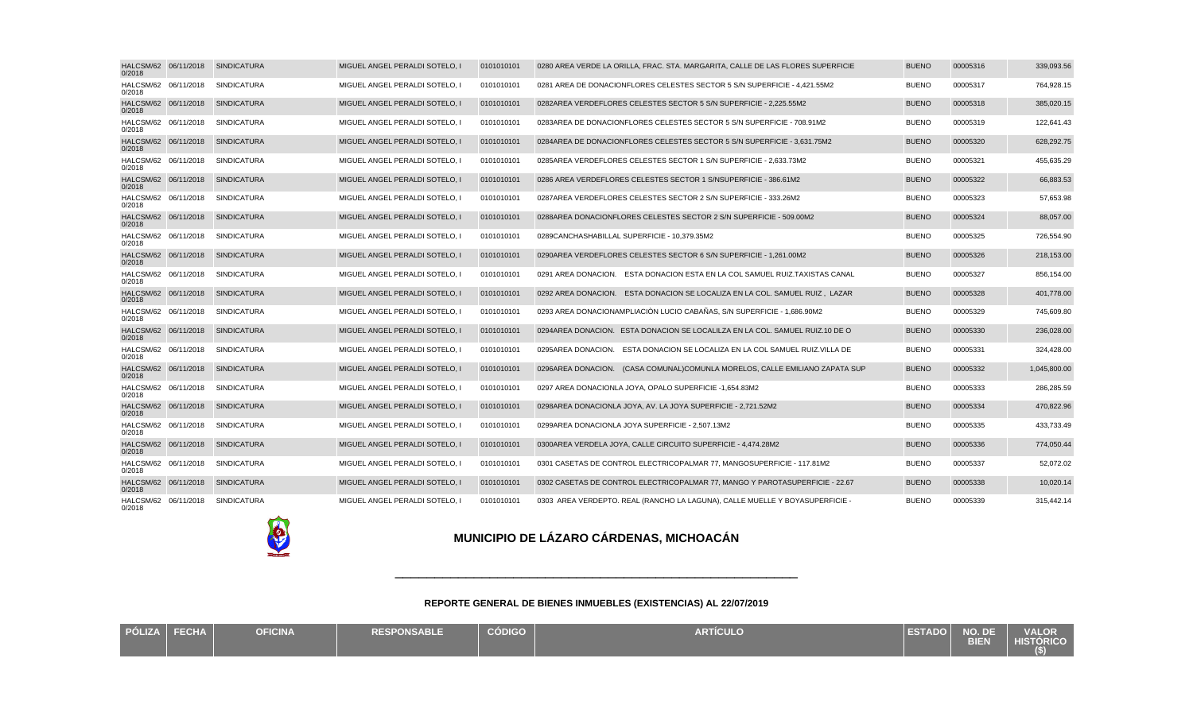| HALCSM/62 06/11/2018<br>0/2018 | <b>SINDICATURA</b>               | MIGUEL ANGEL PERALDI SOTELO. I | 0101010101 | 0280 AREA VERDE LA ORILLA, FRAC, STA, MARGARITA, CALLE DE LAS FLORES SUPERFICIE | <b>BUENO</b> | 00005316 | 339,093.56   |
|--------------------------------|----------------------------------|--------------------------------|------------|---------------------------------------------------------------------------------|--------------|----------|--------------|
| HALCSM/62 06/11/2018<br>0/2018 | <b>SINDICATURA</b>               | MIGUEL ANGEL PERALDI SOTELO, I | 0101010101 | 0281 AREA DE DONACION FLORES CELESTES SECTOR 5 S/N SUPERFICIE - 4.421.55M2      | <b>BUENO</b> | 00005317 | 764,928.15   |
| 0/2018                         | HALCSM/62 06/11/2018 SINDICATURA | MIGUEL ANGEL PERALDI SOTELO. I | 0101010101 | 0282 AREA VERDE FLORES CELESTES SECTOR 5 S/N SUPERFICIE - 2.225.55M2            | <b>BUENO</b> | 00005318 | 385,020.15   |
| HALCSM/62 06/11/2018<br>0/2018 | SINDICATURA                      | MIGUEL ANGEL PERALDI SOTELO, I | 0101010101 | 0283 AREA DE DONACION FLORES CELESTES SECTOR 5 S/N SUPERFICIE - 708.91M2        | <b>BUENO</b> | 00005319 | 122,641.43   |
| 0/2018                         | HALCSM/62 06/11/2018 SINDICATURA | MIGUEL ANGEL PERALDI SOTELO. I | 0101010101 | 0284 AREA DE DONACION FLORES CELESTES SECTOR 5 S/N SUPERFICIE - 3.631.75M2      | <b>BUENO</b> | 00005320 | 628,292.75   |
| HALCSM/62 06/11/2018<br>0/2018 | SINDICATURA                      | MIGUEL ANGEL PERALDI SOTELO, I | 0101010101 | 0285 AREA VERDE FLORES CELESTES SECTOR 1 S/N SUPERFICIE - 2,633.73M2            | <b>BUENO</b> | 00005321 | 455,635.29   |
| HALCSM/62 06/11/2018<br>0/2018 | SINDICATURA                      | MIGUEL ANGEL PERALDI SOTELO, I | 0101010101 | 0286 AREA VERDE FLORES CELESTES SECTOR 1 S/N SUPERFICIE - 386.61M2              | <b>BUENO</b> | 00005322 | 66,883.53    |
| HALCSM/62 06/11/2018<br>0/2018 | <b>SINDICATURA</b>               | MIGUEL ANGEL PERALDI SOTELO, I | 0101010101 | 0287 AREA VERDE FLORES CELESTES SECTOR 2 S/N SUPERFICIE - 333.26M2              | <b>BUENO</b> | 00005323 | 57,653.98    |
| HALCSM/62 06/11/2018<br>0/2018 | <b>SINDICATURA</b>               | MIGUEL ANGEL PERALDI SOTELO, I | 0101010101 | 0288 AREA DONACION FLORES CELESTES SECTOR 2 S/N SUPERFICIE - 509.00M2           | <b>BUENO</b> | 00005324 | 88,057.00    |
| HALCSM/62 06/11/2018<br>0/2018 | <b>SINDICATURA</b>               | MIGUEL ANGEL PERALDI SOTELO. I | 0101010101 | 0289 CANCHAS HABILLAL SUPERFICIE - 10.379.35M2                                  | <b>BUENO</b> | 00005325 | 726,554.90   |
| HALCSM/62 06/11/2018<br>0/2018 | <b>SINDICATURA</b>               | MIGUEL ANGEL PERALDI SOTELO, I | 0101010101 | 0290 AREA VERDE FLORES CELESTES SECTOR 6 S/N SUPERFICIE - 1,261.00M2            | <b>BUENO</b> | 00005326 | 218,153.00   |
| HALCSM/62 06/11/2018<br>0/2018 | <b>SINDICATURA</b>               | MIGUEL ANGEL PERALDI SOTELO, I | 0101010101 | 0291 AREA DONACION. ESTA DONACION ESTA EN LA COL SAMUEL RUIZ. TAXISTAS CANAL    | <b>BUENO</b> | 00005327 | 856,154.00   |
| HALCSM/62 06/11/2018<br>0/2018 | <b>SINDICATURA</b>               | MIGUEL ANGEL PERALDI SOTELO, I | 0101010101 | 0292 AREA DONACION. ESTA DONACION SE LOCALIZA EN LA COL. SAMUEL RUIZ, LAZAR     | <b>BUENO</b> | 00005328 | 401,778.00   |
| HALCSM/62 06/11/2018<br>0/2018 | <b>SINDICATURA</b>               | MIGUEL ANGEL PERALDI SOTELO. I | 0101010101 | 0293 AREA DONACION AMPLIACIÓN LUCIO CABAÑAS. S/N SUPERFICIE - 1.686.90M2        | <b>BUENO</b> | 00005329 | 745,609.80   |
| HALCSM/62 06/11/2018<br>0/2018 | <b>SINDICATURA</b>               | MIGUEL ANGEL PERALDI SOTELO, I | 0101010101 | 0294 AREA DONACION. ESTA DONACION SE LOCALILZA EN LA COL. SAMUEL RUIZ. 10 DE O  | <b>BUENO</b> | 00005330 | 236,028.00   |
| HALCSM/62 06/11/2018<br>0/2018 | <b>SINDICATURA</b>               | MIGUEL ANGEL PERALDI SOTELO, I | 0101010101 | 0295 AREA DONACION. ESTA DONACION SE LOCALIZA EN LA COL SAMUEL RUIZ, VILLA DE   | <b>BUENO</b> | 00005331 | 324,428.00   |
| HALCSM/62 06/11/2018<br>0/2018 | <b>SINDICATURA</b>               | MIGUEL ANGEL PERALDI SOTELO, I | 0101010101 | 0296 AREA DONACION. (CASA COMUNAL) COMUNLA MORELOS, CALLE EMILIANO ZAPATA SUP   | <b>BUENO</b> | 00005332 | 1,045,800.00 |
| HALCSM/62 06/11/2018<br>0/2018 | <b>SINDICATURA</b>               | MIGUEL ANGEL PERALDI SOTELO, I | 0101010101 | 0297 AREA DONACION LA JOYA, OPALO SUPERFICIE - 1,654.83M2                       | <b>BUENO</b> | 00005333 | 286,285.59   |
| 0/2018                         | HALCSM/62 06/11/2018 SINDICATURA | MIGUEL ANGEL PERALDI SOTELO, I | 0101010101 | 0298 AREA DONACION LA JOYA, AV. LA JOYA SUPERFICIE - 2,721.52M2                 | <b>BUENO</b> | 00005334 | 470,822.96   |
| HALCSM/62 06/11/2018<br>0/2018 | <b>SINDICATURA</b>               | MIGUEL ANGEL PERALDI SOTELO. I | 0101010101 | 0299 AREA DONACION LA JOYA SUPERFICIE - 2.507.13M2                              | <b>BUENO</b> | 00005335 | 433,733.49   |
| 0/2018                         | HALCSM/62 06/11/2018 SINDICATURA | MIGUEL ANGEL PERALDI SOTELO, I | 0101010101 | 0300 AREA VERDE LA JOYA, CALLE CIRCUITO SUPERFICIE - 4,474.28M2                 | <b>BUENO</b> | 00005336 | 774,050.44   |
| HALCSM/62 06/11/2018<br>0/2018 | <b>SINDICATURA</b>               | MIGUEL ANGEL PERALDI SOTELO, I | 0101010101 | 0301 CASETAS DE CONTROL ELECTRICO PALMAR 77, MANGO SUPERFICIE - 117.81M2        | <b>BUENO</b> | 00005337 | 52,072.02    |
| HALCSM/62 06/11/2018<br>0/2018 | <b>SINDICATURA</b>               | MIGUEL ANGEL PERALDI SOTELO, I | 0101010101 | 0302 CASETAS DE CONTROL ELECTRICO PALMAR 77, MANGO Y PAROTA SUPERFICIE - 22.67  | <b>BUENO</b> | 00005338 | 10,020.14    |
| HALCSM/62 06/11/2018<br>0/2018 | SINDICATURA                      | MIGUEL ANGEL PERALDI SOTELO, I | 0101010101 | 0303 AREA VERDE PTO. REAL (RANCHO LA LAGUNA), CALLE MUELLE Y BOYA SUPERFICIE -  | <b>BUENO</b> | 00005339 | 315,442.14   |

E

## **MUNICIPIO DE LÁZARO CÁRDENAS, MICHOACÁN**

| PÓLIZA FECHA | <b>OFICINA</b> | <b>RESPONSABLE</b> | <b>CÓDIGO</b> | <b>ARTÍCULO</b> | <b>ESTADO</b> | $\blacksquare$ NO. DE $\blacksquare$<br><b>BIEN</b> | <b>VALOR</b><br><b>HISTÓRICO</b> |
|--------------|----------------|--------------------|---------------|-----------------|---------------|-----------------------------------------------------|----------------------------------|
|              |                |                    |               |                 |               |                                                     | $($ \$)                          |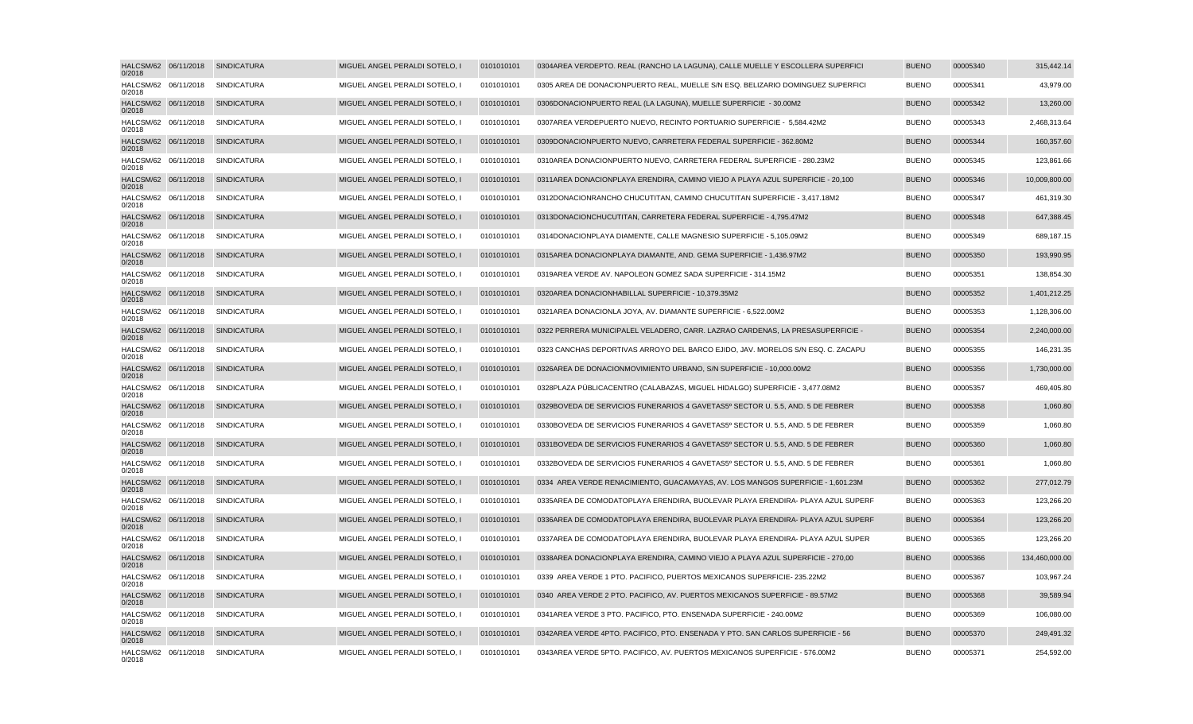| HALCSM/62 06/11/2018<br>0/2018 | SINDICATURA                      | MIGUEL ANGEL PERALDI SOTELO, I | 0101010101 | 0304 AREA VERDE PTO. REAL (RANCHO LA LAGUNA), CALLE MUELLE Y ESCOLLERA SUPERFICI | <b>BUENO</b> | 00005340 | 315,442.14     |
|--------------------------------|----------------------------------|--------------------------------|------------|----------------------------------------------------------------------------------|--------------|----------|----------------|
| HALCSM/62 06/11/2018<br>0/2018 | SINDICATURA                      | MIGUEL ANGEL PERALDI SOTELO, I | 0101010101 | 0305 AREA DE DONACION PUERTO REAL. MUELLE S/N ESQ. BELIZARIO DOMINGUEZ SUPERFICI | <b>BUENO</b> | 00005341 | 43,979.00      |
| HALCSM/62 06/11/2018<br>0/2018 | SINDICATURA                      | MIGUEL ANGEL PERALDI SOTELO, I | 0101010101 | 0306 DONACION PUERTO REAL (LA LAGUNA), MUELLE SUPERFICIE - 30.00M2               | <b>BUENO</b> | 00005342 | 13,260.00      |
| HALCSM/62 06/11/2018<br>0/2018 | SINDICATURA                      | MIGUEL ANGEL PERALDI SOTELO, I | 0101010101 | 0307 AREA VERDE PUERTO NUEVO, RECINTO PORTUARIO SUPERFICIE - 5,584.42M2          | <b>BUENO</b> | 00005343 | 2,468,313.64   |
| HALCSM/62 06/11/2018<br>0/2018 | <b>SINDICATURA</b>               | MIGUEL ANGEL PERALDI SOTELO, I | 0101010101 | 0309 DONACION PUERTO NUEVO, CARRETERA FEDERAL SUPERFICIE - 362.80M2              | <b>BUENO</b> | 00005344 | 160,357.60     |
| HALCSM/62 06/11/2018<br>0/2018 | <b>SINDICATURA</b>               | MIGUEL ANGEL PERALDI SOTELO, I | 0101010101 | 0310 AREA DONACION PUERTO NUEVO, CARRETERA FEDERAL SUPERFICIE - 280.23M2         | <b>BUENO</b> | 00005345 | 123,861.66     |
| HALCSM/62 06/11/2018<br>0/2018 | <b>SINDICATURA</b>               | MIGUEL ANGEL PERALDI SOTELO, I | 0101010101 | 0311 AREA DONACION PLAYA ERENDIRA, CAMINO VIEJO A PLAYA AZUL SUPERFICIE - 20,100 | <b>BUENO</b> | 00005346 | 10,009,800.00  |
| HALCSM/62 06/11/2018<br>0/2018 | SINDICATURA                      | MIGUEL ANGEL PERALDI SOTELO, I | 0101010101 | 0312 DONACION RANCHO CHUCUTITAN, CAMINO CHUCUTITAN SUPERFICIE - 3,417.18M2       | <b>BUENO</b> | 00005347 | 461,319.30     |
| HALCSM/62 06/11/2018<br>0/2018 | <b>SINDICATURA</b>               | MIGUEL ANGEL PERALDI SOTELO, I | 0101010101 | 0313 DONACION CHUCUTITAN, CARRETERA FEDERAL SUPERFICIE - 4,795.47M2              | <b>BUENO</b> | 00005348 | 647,388.45     |
| HALCSM/62 06/11/2018<br>0/2018 | <b>SINDICATURA</b>               | MIGUEL ANGEL PERALDI SOTELO, I | 0101010101 | 0314 DONACION PLAYA DIAMENTE, CALLE MAGNESIO SUPERFICIE - 5,105.09M2             | <b>BUENO</b> | 00005349 | 689,187.15     |
| HALCSM/62 06/11/2018<br>0/2018 | <b>SINDICATURA</b>               | MIGUEL ANGEL PERALDI SOTELO. I | 0101010101 | 0315 AREA DONACION PLAYA DIAMANTE, AND, GEMA SUPERFICIE - 1.436.97M2             | <b>BUENO</b> | 00005350 | 193,990.95     |
| HALCSM/62 06/11/2018<br>0/2018 | SINDICATURA                      | MIGUEL ANGEL PERALDI SOTELO, I | 0101010101 | 0319 AREA VERDE AV. NAPOLEON GOMEZ SADA SUPERFICIE - 314.15M2                    | <b>BUENO</b> | 00005351 | 138,854.30     |
| HALCSM/62 06/11/2018<br>0/2018 | <b>SINDICATURA</b>               | MIGUEL ANGEL PERALDI SOTELO, I | 0101010101 | 0320 AREA DONACION HABILLAL SUPERFICIE - 10,379.35M2                             | <b>BUENO</b> | 00005352 | 1,401,212.25   |
| HALCSM/62 06/11/2018<br>0/2018 | <b>SINDICATURA</b>               | MIGUEL ANGEL PERALDI SOTELO. I | 0101010101 | 0321 AREA DONACION LA JOYA, AV. DIAMANTE SUPERFICIE - 6,522.00M2                 | <b>BUENO</b> | 00005353 | 1,128,306.00   |
| HALCSM/62 06/11/2018<br>0/2018 | SINDICATURA                      | MIGUEL ANGEL PERALDI SOTELO, I | 0101010101 | 0322 PERRERA MUNICIPAL EL VELADERO, CARR. LAZRAO CARDENAS, LA PRESA SUPERFICIE - | <b>BUENO</b> | 00005354 | 2,240,000.00   |
| HALCSM/62 06/11/2018<br>0/2018 | <b>SINDICATURA</b>               | MIGUEL ANGEL PERALDI SOTELO. I | 0101010101 | 0323 CANCHAS DEPORTIVAS ARROYO DEL BARCO EJIDO, JAV, MORELOS S/N ESQ, C, ZACAPU  | <b>BUENO</b> | 00005355 | 146,231.35     |
| HALCSM/62 06/11/2018<br>0/2018 | <b>SINDICATURA</b>               | MIGUEL ANGEL PERALDI SOTELO, I | 0101010101 | 0326 AREA DE DONACION MOVIMIENTO URBANO, S/N SUPERFICIE - 10,000.00M2            | <b>BUENO</b> | 00005356 | 1,730,000.00   |
| HALCSM/62 06/11/2018<br>0/2018 | <b>SINDICATURA</b>               | MIGUEL ANGEL PERALDI SOTELO, I | 0101010101 | 0328 PLAZA PÚBLICA CENTRO (CALABAZAS, MIGUEL HIDALGO) SUPERFICIE - 3,477.08M2    | <b>BUENO</b> | 00005357 | 469,405.80     |
| HALCSM/62 06/11/2018<br>0/2018 | <b>SINDICATURA</b>               | MIGUEL ANGEL PERALDI SOTELO. I | 0101010101 | 0329 BOVEDA DE SERVICIOS FUNERARIOS 4 GAVETAS 5º SECTOR U. 5.5. AND. 5 DE FEBRER | <b>BUENO</b> | 00005358 | 1,060.80       |
| HALCSM/62 06/11/2018<br>0/2018 | <b>SINDICATURA</b>               | MIGUEL ANGEL PERALDI SOTELO, I | 0101010101 | 0330 BOVEDA DE SERVICIOS FUNERARIOS 4 GAVETAS 5º SECTOR U. 5.5, AND. 5 DE FEBRER | <b>BUENO</b> | 00005359 | 1,060.80       |
| HALCSM/62 06/11/2018<br>0/2018 | <b>SINDICATURA</b>               | MIGUEL ANGEL PERALDI SOTELO, I | 0101010101 | 0331 BOVEDA DE SERVICIOS FUNERARIOS 4 GAVETAS 5º SECTOR U. 5.5, AND. 5 DE FEBRER | <b>BUENO</b> | 00005360 | 1,060.80       |
| HALCSM/62 06/11/2018<br>0/2018 | <b>SINDICATURA</b>               | MIGUEL ANGEL PERALDI SOTELO, I | 0101010101 | 0332 BOVEDA DE SERVICIOS FUNERARIOS 4 GAVETAS 5º SECTOR U. 5.5, AND. 5 DE FEBRER | <b>BUENO</b> | 00005361 | 1,060.80       |
| HALCSM/62 06/11/2018<br>0/2018 | <b>SINDICATURA</b>               | MIGUEL ANGEL PERALDI SOTELO, I | 0101010101 | 0334 AREA VERDE RENACIMIENTO, GUACAMAYAS, AV. LOS MANGOS SUPERFICIE - 1,601.23M  | <b>BUENO</b> | 00005362 | 277,012.79     |
| HALCSM/62 06/11/2018<br>0/2018 | SINDICATURA                      | MIGUEL ANGEL PERALDI SOTELO, I | 0101010101 | 0335 AREA DE COMODATO PLAYA ERENDIRA, BUOLEVAR PLAYA ERENDIRA- PLAYA AZUL SUPERF | <b>BUENO</b> | 00005363 | 123,266.20     |
| HALCSM/62 06/11/2018<br>0/2018 | <b>SINDICATURA</b>               | MIGUEL ANGEL PERALDI SOTELO. I | 0101010101 | 0336 AREA DE COMODATO PLAYA ERENDIRA, BUOLEVAR PLAYA ERENDIRA- PLAYA AZUL SUPERF | <b>BUENO</b> | 00005364 | 123,266.20     |
| HALCSM/62 06/11/2018<br>0/2018 | SINDICATURA                      | MIGUEL ANGEL PERALDI SOTELO, I | 0101010101 | 0337 AREA DE COMODATO PLAYA ERENDIRA, BUOLEVAR PLAYA ERENDIRA- PLAYA AZUL SUPER  | <b>BUENO</b> | 00005365 | 123,266.20     |
| HALCSM/62 06/11/2018<br>0/2018 | <b>SINDICATURA</b>               | MIGUEL ANGEL PERALDI SOTELO, I | 0101010101 | 0338 AREA DONACION PLAYA ERENDIRA, CAMINO VIEJO A PLAYA AZUL SUPERFICIE - 270,00 | <b>BUENO</b> | 00005366 | 134,460,000.00 |
| HALCSM/62 06/11/2018<br>0/2018 | <b>SINDICATURA</b>               | MIGUEL ANGEL PERALDI SOTELO, I | 0101010101 | 0339 AREA VERDE 1 PTO. PACIFICO, PUERTOS MEXICANOS SUPERFICIE- 235.22M2          | <b>BUENO</b> | 00005367 | 103,967.24     |
| HALCSM/62 06/11/2018<br>0/2018 | <b>SINDICATURA</b>               | MIGUEL ANGEL PERALDI SOTELO, I | 0101010101 | 0340 AREA VERDE 2 PTO. PACIFICO, AV. PUERTOS MEXICANOS SUPERFICIE - 89.57M2      | <b>BUENO</b> | 00005368 | 39,589.94      |
| HALCSM/62 06/11/2018<br>0/2018 | <b>SINDICATURA</b>               | MIGUEL ANGEL PERALDI SOTELO. I | 0101010101 | 0341 AREA VERDE 3 PTO, PACIFICO, PTO, ENSENADA SUPERFICIE - 240,00M2             | <b>BUENO</b> | 00005369 | 106,080.00     |
| HALCSM/62 06/11/2018<br>0/2018 | SINDICATURA                      | MIGUEL ANGEL PERALDI SOTELO, I | 0101010101 | 0342 AREA VERDE 4 PTO. PACIFICO, PTO. ENSENADA Y PTO. SAN CARLOS SUPERFICIE - 56 | <b>BUENO</b> | 00005370 | 249,491.32     |
| 0/2018                         | HALCSM/62 06/11/2018 SINDICATURA | MIGUEL ANGEL PERALDI SOTELO, I | 0101010101 | 0343 AREA VERDE 5 PTO. PACIFICO, AV. PUERTOS MEXICANOS SUPERFICIE - 576.00M2     | <b>BUENO</b> | 00005371 | 254,592.00     |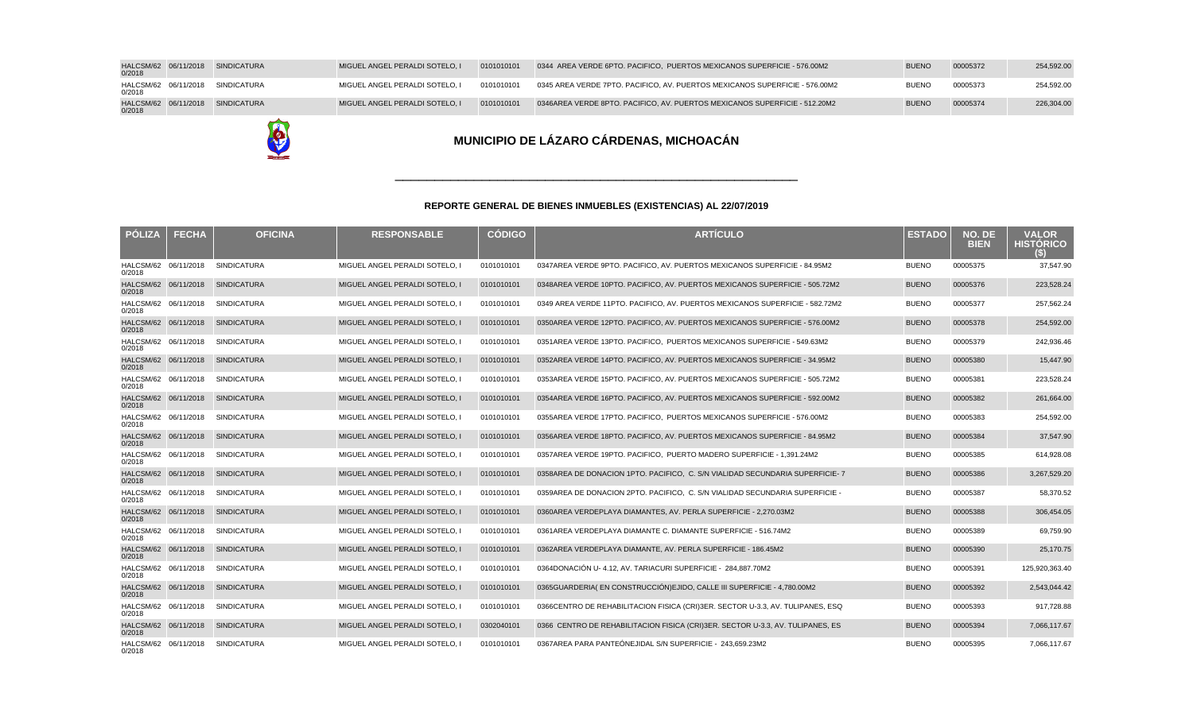| <b>PÓLIZA</b>                  | <b>FECHA</b> | <b>OFICINA</b>     | <b>RESPONSABLE</b>             | <b>CÓDIGO</b> | <b>ARTÍCULO</b>                                                                  | <b>ESTADO</b> | NO. DE<br><b>BIEN</b> | <b>VALOR</b><br><b>HISTÓRICO</b><br>G |
|--------------------------------|--------------|--------------------|--------------------------------|---------------|----------------------------------------------------------------------------------|---------------|-----------------------|---------------------------------------|
| HALCSM/62 06/11/2018<br>0/2018 |              | <b>SINDICATURA</b> | MIGUEL ANGEL PERALDI SOTELO, I | 0101010101    | 0347 AREA VERDE 9 PTO. PACIFICO, AV. PUERTOS MEXICANOS SUPERFICIE - 84.95M2      | <b>BUENO</b>  | 00005375              | 37,547.90                             |
| HALCSM/62 06/11/2018<br>0/2018 |              | <b>SINDICATURA</b> | MIGUEL ANGEL PERALDI SOTELO, I | 0101010101    | 0348 AREA VERDE 10 PTO. PACIFICO, AV. PUERTOS MEXICANOS SUPERFICIE - 505.72M2    | <b>BUENO</b>  | 00005376              | 223,528.24                            |
| HALCSM/62 06/11/2018<br>0/2018 |              | <b>SINDICATURA</b> | MIGUEL ANGEL PERALDI SOTELO, I | 0101010101    | 0349 AREA VERDE 11 PTO. PACIFICO, AV. PUERTOS MEXICANOS SUPERFICIE - 582.72M2    | <b>BUENO</b>  | 00005377              | 257,562.24                            |
| HALCSM/62 06/11/2018<br>0/2018 |              | <b>SINDICATURA</b> | MIGUEL ANGEL PERALDI SOTELO, I | 0101010101    | 0350 AREA VERDE 12 PTO. PACIFICO, AV. PUERTOS MEXICANOS SUPERFICIE - 576.00M2    | <b>BUENO</b>  | 00005378              | 254,592.00                            |
| HALCSM/62 06/11/2018<br>0/2018 |              | <b>SINDICATURA</b> | MIGUEL ANGEL PERALDI SOTELO, I | 0101010101    | 0351 AREA VERDE 13 PTO. PACIFICO, PUERTOS MEXICANOS SUPERFICIE - 549.63M2        | <b>BUENO</b>  | 00005379              | 242,936.46                            |
| HALCSM/62 06/11/2018<br>0/2018 |              | <b>SINDICATURA</b> | MIGUEL ANGEL PERALDI SOTELO, I | 0101010101    | 0352 AREA VERDE 14 PTO. PACIFICO, AV. PUERTOS MEXICANOS SUPERFICIE - 34.95M2     | <b>BUENO</b>  | 00005380              | 15,447.90                             |
| HALCSM/62 06/11/2018<br>0/2018 |              | <b>SINDICATURA</b> | MIGUEL ANGEL PERALDI SOTELO. I | 0101010101    | 0353 AREA VERDE 15 PTO, PACIFICO, AV, PUERTOS MEXICANOS SUPERFICIE - 505.72M2    | <b>BUENO</b>  | 00005381              | 223,528.24                            |
| HALCSM/62 06/11/2018<br>0/2018 |              | <b>SINDICATURA</b> | MIGUEL ANGEL PERALDI SOTELO, I | 0101010101    | 0354 AREA VERDE 16 PTO. PACIFICO, AV. PUERTOS MEXICANOS SUPERFICIE - 592.00M2    | <b>BUENO</b>  | 00005382              | 261,664.00                            |
| HALCSM/62 06/11/2018<br>0/2018 |              | <b>SINDICATURA</b> | MIGUEL ANGEL PERALDI SOTELO, I | 0101010101    | 0355 AREA VERDE 17 PTO. PACIFICO, PUERTOS MEXICANOS SUPERFICIE - 576.00M2        | <b>BUENO</b>  | 00005383              | 254,592.00                            |
| HALCSM/62 06/11/2018<br>0/2018 |              | <b>SINDICATURA</b> | MIGUEL ANGEL PERALDI SOTELO, I | 0101010101    | 0356 AREA VERDE 18 PTO. PACIFICO, AV. PUERTOS MEXICANOS SUPERFICIE - 84.95M2     | <b>BUENO</b>  | 00005384              | 37,547.90                             |
| HALCSM/62 06/11/2018<br>0/2018 |              | <b>SINDICATURA</b> | MIGUEL ANGEL PERALDI SOTELO, I | 0101010101    | 0357 AREA VERDE 19 PTO. PACIFICO, PUERTO MADERO SUPERFICIE - 1,391.24M2          | <b>BUENO</b>  | 00005385              | 614,928.08                            |
| HALCSM/62 06/11/2018<br>0/2018 |              | <b>SINDICATURA</b> | MIGUEL ANGEL PERALDI SOTELO, I | 0101010101    | 0358 AREA DE DONACION 1 PTO. PACIFICO, C. S/N VIALIDAD SECUNDARIA SUPERFICIE- 7  | <b>BUENO</b>  | 00005386              | 3,267,529.20                          |
| HALCSM/62 06/11/2018<br>0/2018 |              | <b>SINDICATURA</b> | MIGUEL ANGEL PERALDI SOTELO, I | 0101010101    | 0359 AREA DE DONACION 2 PTO. PACIFICO, C. S/N VIALIDAD SECUNDARIA SUPERFICIE -   | <b>BUENO</b>  | 00005387              | 58,370.52                             |
| HALCSM/62 06/11/2018<br>0/2018 |              | <b>SINDICATURA</b> | MIGUEL ANGEL PERALDI SOTELO, I | 0101010101    | 0360 AREA VERDE PLAYA DIAMANTES, AV. PERLA SUPERFICIE - 2,270.03M2               | <b>BUENO</b>  | 00005388              | 306,454.05                            |
| HALCSM/62 06/11/2018<br>0/2018 |              | SINDICATURA        | MIGUEL ANGEL PERALDI SOTELO, I | 0101010101    | 0361 AREA VERDE PLAYA DIAMANTE C. DIAMANTE SUPERFICIE - 516.74M2                 | <b>BUENO</b>  | 00005389              | 69,759.90                             |
| HALCSM/62 06/11/2018<br>0/2018 |              | <b>SINDICATURA</b> | MIGUEL ANGEL PERALDI SOTELO, I | 0101010101    | 0362 AREA VERDE PLAYA DIAMANTE, AV. PERLA SUPERFICIE - 186.45M2                  | <b>BUENO</b>  | 00005390              | 25,170.75                             |
| HALCSM/62 06/11/2018<br>0/2018 |              | <b>SINDICATURA</b> | MIGUEL ANGEL PERALDI SOTELO, I | 0101010101    | 0364 DONACIÓN U- 4.12, AV. TARIACURI SUPERFICIE - 284,887.70M2                   | <b>BUENO</b>  | 00005391              | 125,920,363.40                        |
| HALCSM/62 06/11/2018<br>0/2018 |              | SINDICATURA        | MIGUEL ANGEL PERALDI SOTELO, I | 0101010101    | 0365 GUARDERIA(EN CONSTRUCCIÓN) EJIDO, CALLE III SUPERFICIE - 4,780.00M2         | <b>BUENO</b>  | 00005392              | 2,543,044.42                          |
| HALCSM/62 06/11/2018<br>0/2018 |              | <b>SINDICATURA</b> | MIGUEL ANGEL PERALDI SOTELO, I | 0101010101    | 0366 CENTRO DE REHABILITACION FISICA (CRI) 3ER. SECTOR U-3.3, AV. TULIPANES, ESQ | <b>BUENO</b>  | 00005393              | 917,728.88                            |
| HALCSM/62 06/11/2018<br>0/2018 |              | <b>SINDICATURA</b> | MIGUEL ANGEL PERALDI SOTELO, I | 0302040101    | 0366 CENTRO DE REHABILITACION FISICA (CRI) 3ER. SECTOR U-3.3, AV. TULIPANES, ES  | <b>BUENO</b>  | 00005394              | 7,066,117.67                          |
| HALCSM/62 06/11/2018<br>0/2018 |              | SINDICATURA        | MIGUEL ANGEL PERALDI SOTELO, I | 0101010101    | 0367 AREA PARA PANTEÓN EJIDAL S/N SUPERFICIE - 243.659.23M2                      | <b>BUENO</b>  | 00005395              | 7,066,117.67                          |

#### **REPORTE GENERAL DE BIENES INMUEBLES (EXISTENCIAS) AL 22/07/2019**

# E

# **MUNICIPIO DE LÁZARO CÁRDENAS, MICHOACÁN**

| 0/2018 | HALCSM/62 06/11/2018 SINDICATURA | MIGUEL ANGEL PERALDI SOTELO. I | 0101010101 | 0344 AREA VERDE 6 PTO, PACIFICO, PUERTOS MEXICANOS SUPERFICIE - 576,00M2     | <b>BUENO</b> | 00005372 | 254,592.00 |
|--------|----------------------------------|--------------------------------|------------|------------------------------------------------------------------------------|--------------|----------|------------|
| 0/2018 | HALCSM/62 06/11/2018 SINDICATURA | MIGUEL ANGEL PERALDI SOTELO. I | 0101010101 | 0345 AREA VERDE 7 PTO. PACIFICO. AV. PUERTOS MEXICANOS SUPERFICIE - 576.00M2 | <b>BUENO</b> | 00005373 | 254.592.00 |
| 0/2018 | HALCSM/62 06/11/2018 SINDICATURA | MIGUEL ANGEL PERALDI SOTELO. I | 0101010101 | 0346 AREA VERDE 8 PTO, PACIFICO, AV, PUERTOS MEXICANOS SUPERFICIE - 512.20M2 | <b>BUENO</b> | 00005374 | 226,304.00 |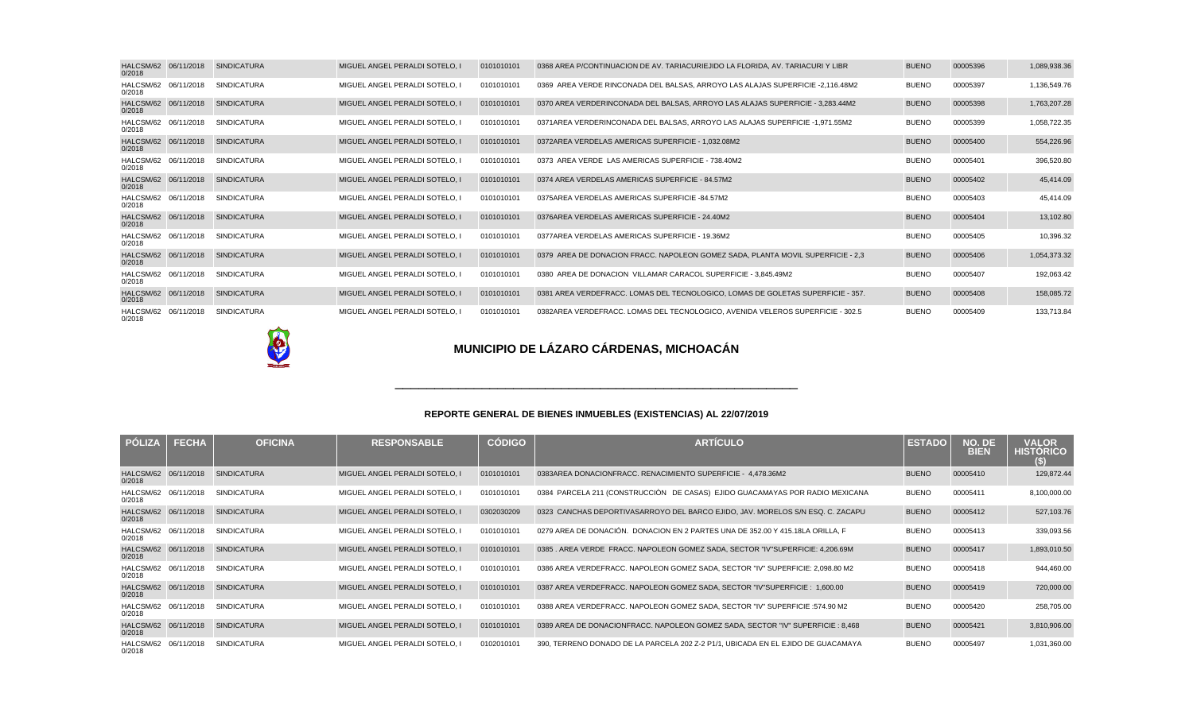| HALCSM/62 06/11/2018<br>0/2018 | <b>SINDICATURA</b> | MIGUEL ANGEL PERALDI SOTELO. I | 0101010101 | 0368 AREA P/CONTINUACION DE AV. TARIACURI EJIDO LA FLORIDA. AV. TARIACURI Y LIBR | <b>BUENO</b> | 00005396 | 1,089,938.36 |
|--------------------------------|--------------------|--------------------------------|------------|----------------------------------------------------------------------------------|--------------|----------|--------------|
| HALCSM/62 06/11/2018<br>0/2018 | <b>SINDICATURA</b> | MIGUEL ANGEL PERALDI SOTELO. I | 0101010101 | 0369 AREA VERDE RINCONADA DEL BALSAS, ARROYO LAS ALAJAS SUPERFICIE - 2.116.48M2  | <b>BUENO</b> | 00005397 | 1,136,549.76 |
| HALCSM/62 06/11/2018<br>0/2018 | <b>SINDICATURA</b> | MIGUEL ANGEL PERALDI SOTELO. I | 0101010101 | 0370 AREA VERDE RINCONADA DEL BALSAS, ARROYO LAS ALAJAS SUPERFICIE - 3.283.44M2  | <b>BUENO</b> | 00005398 | 1,763,207.28 |
| HALCSM/62 06/11/2018<br>0/2018 | <b>SINDICATURA</b> | MIGUEL ANGEL PERALDI SOTELO. I | 0101010101 | 0371 AREA VERDE RINCONADA DEL BALSAS, ARROYO LAS ALAJAS SUPERFICIE - 1.971.55M2  | <b>BUENO</b> | 00005399 | 1,058,722.35 |
| HALCSM/62 06/11/2018<br>0/2018 | <b>SINDICATURA</b> | MIGUEL ANGEL PERALDI SOTELO. I | 0101010101 | 0372 AREA VERDE LAS AMERICAS SUPERFICIE - 1,032.08M2                             | <b>BUENO</b> | 00005400 | 554,226.96   |
| HALCSM/62 06/11/2018<br>0/2018 | <b>SINDICATURA</b> | MIGUEL ANGEL PERALDI SOTELO. I | 0101010101 | 0373 AREA VERDE LAS AMERICAS SUPERFICIE - 738.40M2                               | <b>BUENO</b> | 00005401 | 396,520.80   |
| HALCSM/62 06/11/2018<br>0/2018 | <b>SINDICATURA</b> | MIGUEL ANGEL PERALDI SOTELO. I | 0101010101 | 0374 AREA VERDE LAS AMERICAS SUPERFICIE - 84.57M2                                | <b>BUENO</b> | 00005402 | 45,414.09    |
| HALCSM/62 06/11/2018<br>0/2018 | <b>SINDICATURA</b> | MIGUEL ANGEL PERALDI SOTELO. I | 0101010101 | 0375 AREA VERDE LAS AMERICAS SUPERFICIE - 84.57M2                                | <b>BUENO</b> | 00005403 | 45,414.09    |
| HALCSM/62 06/11/2018<br>0/2018 | <b>SINDICATURA</b> | MIGUEL ANGEL PERALDI SOTELO. I | 0101010101 | 0376 AREA VERDE LAS AMERICAS SUPERFICIE - 24.40M2                                | <b>BUENO</b> | 00005404 | 13,102.80    |
| HALCSM/62 06/11/2018<br>0/2018 | <b>SINDICATURA</b> | MIGUEL ANGEL PERALDI SOTELO. I | 0101010101 | 0377 AREA VERDE LAS AMERICAS SUPERFICIE - 19.36M2                                | <b>BUENO</b> | 00005405 | 10,396.32    |
| HALCSM/62 06/11/2018<br>0/2018 | <b>SINDICATURA</b> | MIGUEL ANGEL PERALDI SOTELO. I | 0101010101 | 0379 AREA DE DONACION FRACC, NAPOLEON GOMEZ SADA, PLANTA MOVIL SUPERFICIE - 2.3  | <b>BUENO</b> | 00005406 | 1,054,373.32 |
| HALCSM/62 06/11/2018<br>0/2018 | <b>SINDICATURA</b> | MIGUEL ANGEL PERALDI SOTELO. I | 0101010101 | 0380 AREA DE DONACION VILLAMAR CARACOL SUPERFICIE - 3,845.49M2                   | <b>BUENO</b> | 00005407 | 192,063.42   |
| HALCSM/62 06/11/2018<br>0/2018 | <b>SINDICATURA</b> | MIGUEL ANGEL PERALDI SOTELO. I | 0101010101 | 0381 AREA VERDE FRACC. LOMAS DEL TECNOLOGICO. LOMAS DE GOLETAS SUPERFICIE - 357. | <b>BUENO</b> | 00005408 | 158,085.72   |
| HALCSM/62 06/11/2018<br>0/2018 | SINDICATURA        | MIGUEL ANGEL PERALDI SOTELO. I | 0101010101 | 0382 AREA VERDE FRACC. LOMAS DEL TECNOLOGICO. AVENIDA VELEROS SUPERFICIE - 302.5 | <b>BUENO</b> | 00005409 | 133,713.84   |

E

## **MUNICIPIO DE LÁZARO CÁRDENAS, MICHOACÁN**

| <b>PÓLIZA</b>                  | <b>FECHA</b> | <b>OFICINA</b>     | <b>RESPONSABLE</b>             | <b>CÓDIGO</b> | <b>ARTÍCULO</b>                                                                  | <b>ESTADO</b> | NO. DE<br><b>BIEN</b> | <b>VALOR</b><br><b>HISTORICO</b><br>$\left(5\right)$ |
|--------------------------------|--------------|--------------------|--------------------------------|---------------|----------------------------------------------------------------------------------|---------------|-----------------------|------------------------------------------------------|
| HALCSM/62 06/11/2018<br>0/2018 |              | <b>SINDICATURA</b> | MIGUEL ANGEL PERALDI SOTELO, I | 0101010101    | 0383 AREA DONACION FRACC. RENACIMIENTO SUPERFICIE - 4,478.36M2                   | <b>BUENO</b>  | 00005410              | 129,872.44                                           |
| HALCSM/62 06/11/2018<br>0/2018 |              | <b>SINDICATURA</b> | MIGUEL ANGEL PERALDI SOTELO. I | 0101010101    | 0384 PARCELA 211 (CONSTRUCCIÒN DE CASAS) EJIDO GUACAMAYAS POR RADIO MEXICANA     | <b>BUENO</b>  | 00005411              | 8,100,000.00                                         |
| HALCSM/62 06/11/2018<br>0/2018 |              | <b>SINDICATURA</b> | MIGUEL ANGEL PERALDI SOTELO, I | 0302030209    | 0323 CANCHAS DEPORTIVAS ARROYO DEL BARCO EJIDO, JAV. MORELOS S/N ESQ. C. ZACAPU  | <b>BUENO</b>  | 00005412              | 527,103.76                                           |
| HALCSM/62 06/11/2018<br>0/2018 |              | <b>SINDICATURA</b> | MIGUEL ANGEL PERALDI SOTELO. I | 0101010101    | 0279 AREA DE DONACIÓN. DONACION EN 2 PARTES UNA DE 352.00 Y 415.18 LA ORILLA. F  | <b>BUENO</b>  | 00005413              | 339,093.56                                           |
| HALCSM/62 06/11/2018<br>0/2018 |              | <b>SINDICATURA</b> | MIGUEL ANGEL PERALDI SOTELO, I | 0101010101    | 0385 . AREA VERDE FRACC. NAPOLEON GOMEZ SADA, SECTOR "IV" SUPERFICIE: 4,206.69M  | <b>BUENO</b>  | 00005417              | 1,893,010.50                                         |
| HALCSM/62 06/11/2018<br>0/2018 |              | <b>SINDICATURA</b> | MIGUEL ANGEL PERALDI SOTELO. I | 0101010101    | 0386 AREA VERDE FRACC. NAPOLEON GOMEZ SADA, SECTOR "IV" SUPERFICIE: 2,098.80 M2  | <b>BUENO</b>  | 00005418              | 944,460.00                                           |
| HALCSM/62 06/11/2018<br>0/2018 |              | <b>SINDICATURA</b> | MIGUEL ANGEL PERALDI SOTELO, I | 0101010101    | 0387 AREA VERDE FRACC, NAPOLEON GOMEZ SADA, SECTOR "IV" SUPERFICIE: 1.600.00     | <b>BUENO</b>  | 00005419              | 720,000.00                                           |
| HALCSM/62 06/11/2018<br>0/2018 |              | <b>SINDICATURA</b> | MIGUEL ANGEL PERALDI SOTELO. I | 0101010101    | 0388 AREA VERDE FRACC, NAPOLEON GOMEZ SADA, SECTOR "IV" SUPERFICIE :574.90 M2    | <b>BUENO</b>  | 00005420              | 258,705.00                                           |
| HALCSM/62 06/11/2018<br>0/2018 |              | <b>SINDICATURA</b> | MIGUEL ANGEL PERALDI SOTELO, I | 0101010101    | 0389 AREA DE DONACION FRACC. NAPOLEON GOMEZ SADA, SECTOR "IV" SUPERFICIE : 8,468 | <b>BUENO</b>  | 00005421              | 3,810,906.00                                         |
| HALCSM/62 06/11/2018<br>0/2018 |              | <b>SINDICATURA</b> | MIGUEL ANGEL PERALDI SOTELO, I | 0102010101    | 390, TERRENO DONADO DE LA PARCELA 202 Z-2 P1/1, UBICADA EN EL EJIDO DE GUACAMAYA | <b>BUENO</b>  | 00005497              | 1,031,360.00                                         |